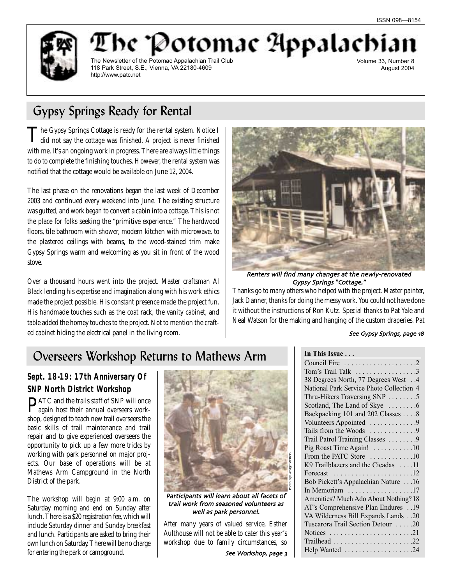

be "Potomac Appalach The Newsletter of the Potomac Appalachian Trail Club 118 Park Street, S.E., Vienna, VA 22180-4609 http://www.patc.net

Volume 33, Number 8 August 2004

# Gypsy Springs Ready for Rental

The Gypsy Springs Cottage is ready for the rental system. Notice I<br>did not say the cottage was finished. A project is never finished with me. It's an ongoing work in progress. There are always little things to do to complete the finishing touches. However, the rental system was notified that the cottage would be available on June 12, 2004.

The last phase on the renovations began the last week of December 2003 and continued every weekend into June. The existing structure was gutted, and work began to convert a cabin into a cottage. This is not the place for folks seeking the "primitive experience." The hardwood floors, tile bathroom with shower, modern kitchen with microwave, to the plastered ceilings with beams, to the wood-stained trim make Gypsy Springs warm and welcoming as you sit in front of the wood stove.

Over a thousand hours went into the project. Master craftsman Al Black lending his expertise and imagination along with his work ethics made the project possible. His constant presence made the project fun. His handmade touches such as the coat rack, the vanity cabinet, and table added the homey touches to the project. Not to mention the crafted cabinet hiding the electrical panel in the living room.



Renters will find many changes at the newly-renovated Gypsy Springs "Cottage."

Thanks go to many others who helped with the project. Master painter, Jack Danner, thanks for doing the messy work. You could not have done it without the instructions of Ron Kutz. Special thanks to Pat Yale and Neal Watson for the making and hanging of the custom draperies. Pat

#### See Gypsy Springs, page 18

# Overseers Workshop Returns to Mathews Arm

# **Sept. 18-19: 17th Anniversary Of SNP North District Workshop**

PATC and the trails staff of SNP will once again host their annual overseers workshop, designed to teach new trail overseers the basic skills of trail maintenance and trail repair and to give experienced overseers the opportunity to pick up a few more tricks by working with park personnel on major projects. Our base of operations will be at Mathews Arm Campground in the North District of the park.

The workshop will begin at 9:00 a.m. on Saturday morning and end on Sunday after lunch. There is a \$20 registration fee, which will include Saturday dinner and Sunday breakfast and lunch. Participants are asked to bring their own lunch on Saturday. There will be no charge for entering the park or campground.



Participants will learn about all facets of trail work from seasoned volunteers as well as park personnel

After many years of valued service, Esther Aulthouse will not be able to cater this year's workshop due to family circumstances, so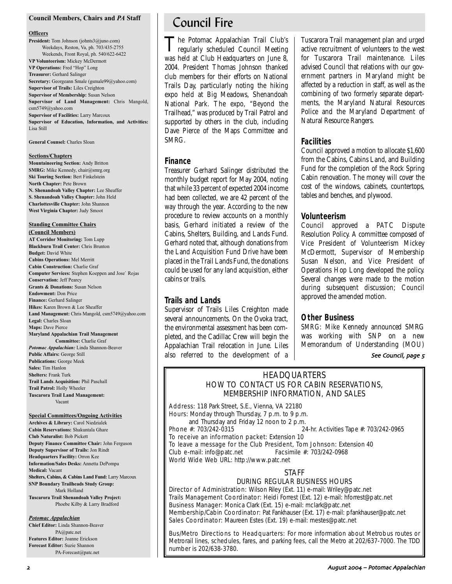#### **Council Members, Chairs and** *PA* **Staff**

#### **Officers**

**President:** Tom Johnson (johnts3@juno.com) Weekdays, Reston, Va, ph. 703/435-2755 Weekends, Front Royal, ph. 540/622-6422 **VP Volunteerism:** Mickey McDermott **VP Operations:** Fred "Hop" Long **Treasurer:** Gerhard Salinger **Secretary:** Georgeann Smale (gsmale99@yahoo.com) **Supervisor of Trails:** Liles Creighton **Supervisor of Membership:** Susan Nelson **Supervisor of Land Management:** Chris Mangold, csm5749@yahoo.com **Supervisor of Facilities:** Larry Marcoux **Supervisor of Education, Information, and Activities:** Lisa Still

**General Counsel:** Charles Sloan

#### **Sections/Chapters**

**Mountaineering Section:** Andy Britton **SMRG:** Mike Kennedy, chair@smrg.org **Ski Touring Section:** Bert Finkelstein **North Chapter:** Pete Brown **N. Shenandoah Valley Chapter:** Lee Sheaffer **S. Shenandoah Valley Chapter:** John Held **Charlottesville Chapter:** John Shannon **West Virginia Chapter:** Judy Smoot

#### **Standing Committee Chairs**

**(Council Members) AT Corridor Monitoring:** Tom Lupp **Blackburn Trail Center:** Chris Brunton **Budget:** David White **Cabins Operations:** Mel Merritt **Cabin Construction:** Charlie Graf **Computer Services:** Stephen Koeppen and Jose` Rojas **Conservation:** Jeff Pearcy **Grants & Donations:** Susan Nelson **Endowment:** Don Price **Finance:** Gerhard Salinger **Hikes:** Karen Brown & Lee Sheaffer **Land Management:** Chris Mangold, csm5749@yahoo.com **Legal:** Charles Sloan **Maps:** Dave Pierce **Maryland Appalachian Trail Management Committee:** Charlie Graf *Potomac Appalachian:* Linda Shannon-Beaver **Public Affairs:** George Still **Publications:** George Meek **Sales:** Tim Hanlon **Shelters:** Frank Turk **Trail Lands Acquisition:** Phil Paschall **Trail Patrol:** Holly Wheeler

**Tuscarora Trail Land Management:** Vacant

#### **Special Committees/Ongoing Activities**

**Archives & Library:** Carol Niedzialek **Cabin Reservations:** Shakuntala Ghare **Club Naturalist:** Bob Pickett **Deputy Finance Committee Chair:** John Ferguson **Deputy Supervisor of Trails:** Jon Rindt **Headquarters Facility:** Orron Kee **Information/Sales Desks:** Annetta DePompa **Medical:** Vacant **Shelters, Cabins, & Cabins Land Fund:** Larry Marcoux **SNP Boundary Trailheads Study Group:** Mark Holland **Tuscarora Trail Shenandoah Valley Project:** Phoebe Kilby & Larry Bradford

#### *Potomac Appalachian*

**Chief Editor:** Linda Shannon-Beaver PA@patc.net **Features Editor:** Joanne Erickson **Forecast Editor:** Suzie Shannon PA-Forecast@patc.net

# Council Fire

The Potomac Appalachian Trail Club's regularly scheduled Council Meeting was held at Club Headquarters on June 8, 2004. President Thomas Johnson thanked club members for their efforts on National Trails Day, particularly noting the hiking expo held at Big Meadows, Shenandoah National Park. The expo, "Beyond the Trailhead," was produced by Trail Patrol and supported by others in the club, including Dave Pierce of the Maps Committee and SMRG.

#### **Finance**

Treasurer Gerhard Salinger distributed the monthly budget report for May 2004, noting that while 33 percent of expected 2004 income had been collected, we are 42 percent of the way through the year. According to the new procedure to review accounts on a monthly basis, Gerhard initiated a review of the Cabins, Shelters, Building, and Lands Fund. Gerhard noted that, although donations from the Land Acquisition Fund Drive have been placed in the Trail Lands Fund, the donations could be used for any land acquisition, either cabins or trails.

#### **Trails and Lands**

Supervisor of Trails Liles Creighton made several announcements. On the Ovoka tract, the environmental assessment has been completed, and the Cadillac Crew will begin the Appalachian Trail relocation in June. Liles also referred to the development of a Tuscarora Trail management plan and urged active recruitment of volunteers to the west for Tuscarora Trail maintenance. Liles advised Council that relations with our government partners in Maryland might be affected by a reduction in staff, as well as the combining of two formerly separate departments, the Maryland Natural Resources Police and the Maryland Department of Natural Resource Rangers.

### **Facilities**

Council approved a motion to allocate \$1,600 from the Cabins, Cabins Land, and Building Fund for the completion of the Rock Spring Cabin renovation. The money will cover the cost of the windows, cabinets, countertops, tables and benches, and plywood.

#### **Volunteerism**

Council approved a PATC Dispute Resolution Policy. A committee composed of Vice President of Volunteerism Mickey McDermott, Supervisor of Membership Susan Nelson, and Vice President of Operations Hop Long developed the policy. Several changes were made to the motion during subsequent discussion; Council approved the amended motion.

#### **Other Business**

*SMRG*: Mike Kennedy announced SMRG was working with SNP on a new Memorandum of Understanding (MOU)

#### See Council, page 5

# **HEADQUARTERS** HOW TO CONTACT US FOR CABIN RESERVATIONS, MEMBERSHIP INFORMATION, AND SALES

Address: 118 Park Street, S.E., Vienna, VA 22180 Hours: Monday through Thursday, 7 p.m. to 9 p.m. and Thursday and Friday 12 noon to 2 p.m.<br>Phone  $\#$ : 703/242-0315 24-hr. Activities Tape #: 703/242-0965 To receive an information packet: Extension 10

To leave a message for the Club President, Tom Johnson: Extension 40 Club e-mail: info@patc.net Facsimile #: 703/242-0968 World Wide Web URL: http://www.patc.net

#### STAFF

### DURING REGULAR BUSINESS HOURS

Director of Administration: Wilson Riley (Ext. 11) e-mail: Wriley@patc.net Trails Management Coordinator: Heidi Forrest (Ext. 12) e-mail: hforrest@patc.net Business Manager: Monica Clark (Ext. 15) e-mail: mclark@patc.net Membership/Cabin Coordinator: Pat Fankhauser (Ext. 17) e-mail: pfankhauser@patc.net Sales Coordinator: Maureen Estes (Ext. 19) e-mail: mestes@patc.net

Bus/Metro Directions to Headquarters: For more information about Metrobus routes or Metrorail lines, schedules, fares, and parking fees, call the Metro at 202/637-7000. The TDD number is 202/638-3780.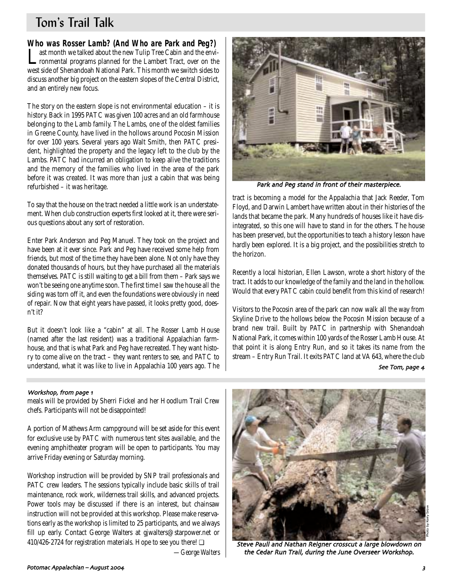# Tom's Trail Talk

**Who was Rosser Lamb? (And Who are Park and Peg?)**<br>**T** ast month we talked about the new Tulip Tree Cabin and the envi-

Last month we talked about the new Tulip Tree Cabin and the envi-ronmental programs planned for the Lambert Tract, over on the west side of Shenandoah National Park. This month we switch sides to discuss another big project on the eastern slopes of the Central District, and an entirely new focus.

The story on the eastern slope is not environmental education – it is history. Back in 1995 PATC was given 100 acres and an old farmhouse belonging to the Lamb family. The Lambs, one of the oldest families in Greene County, have lived in the hollows around Pocosin Mission for over 100 years. Several years ago Walt Smith, then PATC president, highlighted the property and the legacy left to the club by the Lambs. PATC had incurred an obligation to keep alive the traditions and the memory of the families who lived in the area of the park before it was created. It was more than just a cabin that was being refurbished – it was heritage.

To say that the house on the tract needed a little work is an understatement. When club construction experts first looked at it, there were serious questions about any sort of restoration.

Enter Park Anderson and Peg Manuel. They took on the project and have been at it ever since. Park and Peg have received some help from friends, but most of the time they have been alone. Not only have they donated thousands of hours, but they have purchased all the materials themselves. PATC is still waiting to get a bill from them – Park says we won't be seeing one anytime soon. The first time I saw the house all the siding was torn off it, and even the foundations were obviously in need of repair. Now that eight years have passed, it looks pretty good, doesn't it?

But it doesn't look like a "cabin" at all. The Rosser Lamb House (named after the last resident) was a traditional Appalachian farmhouse, and that is what Park and Peg have recreated. They want history to come alive on the tract – they want renters to see, and PATC to understand, what it was like to live in Appalachia 100 years ago. The

### Workshop, from page 1

meals will be provided by Sherri Fickel and her Hoodlum Trail Crew chefs. Participants will not be disappointed!

A portion of Mathews Arm campground will be set aside for this event for exclusive use by PATC with numerous tent sites available, and the evening amphitheater program will be open to participants. You may arrive Friday evening or Saturday morning.

Workshop instruction will be provided by SNP trail professionals and PATC crew leaders. The sessions typically include basic skills of trail maintenance, rock work, wilderness trail skills, and advanced projects. Power tools may be discussed if there is an interest, but chainsaw instruction will not be provided at this workshop. Please make reservations early as the workshop is limited to 25 participants, and we always fill up early. Contact George Walters at gjwalters@starpower.net or 410/426-2724 for registration materials. Hope to see you there! ❏

*—George Walters*



Park and Peg stand in front of their masterpiece

tract is becoming a model for the Appalachia that Jack Reeder, Tom Floyd, and Darwin Lambert have written about in their histories of the lands that became the park. Many hundreds of houses like it have disintegrated, so this one will have to stand in for the others. The house has been preserved, but the opportunities to teach a history lesson have hardly been explored. It is a big project, and the possibilities stretch to the horizon.

Recently a local historian, Ellen Lawson, wrote a short history of the tract. It adds to our knowledge of the family and the land in the hollow. Would that every PATC cabin could benefit from this kind of research!

Visitors to the Pocosin area of the park can now walk all the way from Skyline Drive to the hollows below the Pocosin Mission because of a brand new trail. Built by PATC in partnership with Shenandoah National Park, it comes within 100 yards of the Rosser Lamb House. At that point it is along Entry Run, and so it takes its name from the stream – Entry Run Trail. It exits PATC land at VA 643, where the club

#### See Tom, page 4



Steve Paull and Nathan Reigner crosscut a large blowdown on the Cedar Run Trail, during the June Overseer Workshop.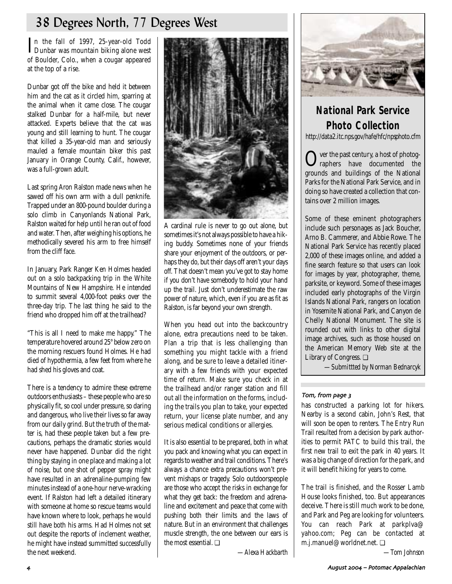# 38 Degrees North, 77 Degrees West

In the fall of 1997, 25-year-old Todd<br>Dunbar was mountain biking alone west Dunbar was mountain biking alone west of Boulder, Colo., when a cougar appeared at the top of a rise.

Dunbar got off the bike and held it between him and the cat as it circled him, sparring at the animal when it came close. The cougar stalked Dunbar for a half-mile, but never attacked. Experts believe that the cat was young and still learning to hunt. The cougar that killed a 35-year-old man and seriously mauled a female mountain biker this past January in Orange County, Calif., however, was a full-grown adult.

Last spring Aron Ralston made news when he sawed off his own arm with a dull penknife. Trapped under an 800-pound boulder during a solo climb in Canyonlands National Park, Ralston waited for help until he ran out of food and water. Then, after weighing his options, he methodically severed his arm to free himself from the cliff face.

In January, Park Ranger Ken Holmes headed out on a solo backpacking trip in the White Mountains of New Hampshire. He intended to summit several 4,000-foot peaks over the three-day trip. The last thing he said to the friend who dropped him off at the trailhead?

"This is all I need to make me happy." The temperature hovered around 25° below zero on the morning rescuers found Holmes. He had died of hypothermia, a few feet from where he had shed his gloves and coat.

There is a tendency to admire these extreme outdoors enthusiasts – these people who are so physically fit, so cool under pressure, so daring and dangerous, who live their lives so far away from our daily grind. But the truth of the matter is, had these people taken but a few precautions, perhaps the dramatic stories would never have happened. Dunbar did the right thing by staying in one place and making a lot of noise, but one shot of pepper spray might have resulted in an adrenaline-pumping few minutes instead of a one-hour nerve-wracking event. If Ralston had left a detailed itinerary with someone at home so rescue teams would have known where to look, perhaps he would still have both his arms. Had Holmes not set out despite the reports of inclement weather, he might have instead summitted successfully the next weekend.



A cardinal rule is never to go out alone, but sometimes it's not always possible to have a hiking buddy. Sometimes none of your friends share your enjoyment of the outdoors, or perhaps they do, but their days off aren't your days off. That doesn't mean you've got to stay home if you don't have somebody to hold your hand up the trail. Just don't underestimate the raw power of nature, which, even if you are as fit as Ralston, is far beyond your own strength.

When you head out into the backcountry alone, extra precautions need to be taken. Plan a trip that is less challenging than something you might tackle with a friend along, and be sure to leave a detailed itinerary with a few friends with your expected time of return. Make sure you check in at the trailhead and/or ranger station and fill out all the information on the forms, including the trails you plan to take, your expected return, your license plate number, and any serious medical conditions or allergies.

It is also essential to be prepared, both in what you pack and knowing what you can expect in regards to weather and trail conditions. There's always a chance extra precautions won't prevent mishaps or tragedy. Solo outdoorspeople are those who accept the risks in exchange for what they get back: the freedom and adrenaline and excitement and peace that come with pushing both their limits and the laws of nature. But in an environment that challenges muscle strength, the one between our ears is the most essential. ❏

*—Alexa Hackbarth*



# **National Park Service Photo Collection**

*http://data2.itc.nps.gov/hafe/hfc/npsphoto.cfm*

Over the past century, a host of photog-raphers have documented the grounds and buildings of the National Parks for the National Park Service, and in doing so have created a collection that contains over 2 million images.

Some of these eminent photographers include such personages as Jack Boucher, Arno B. Cammerer, and Abbie Rowe. The National Park Service has recently placed 2,000 of these images online, and added a fine search feature so that users can look for images by year, photographer, theme, parksite, or keyword. Some of these images included early photographs of the Virgin Islands National Park, rangers on location in Yosemite National Park, and Canyon de Chelly National Monument. The site is rounded out with links to other digital image archives, such as those housed on the American Memory Web site at the Library of Congress. ❏

*—Submittted by Norman Bednarcyk*

### Tom, from page 3

has constructed a parking lot for hikers. Nearby is a second cabin, John's Rest, that will soon be open to renters. The Entry Run Trail resulted from a decision by park authorities to permit PATC to build this trail, the first new trail to exit the park in 40 years. It was a big change of direction for the park, and it will benefit hiking for years to come.

The trail is finished, and the Rosser Lamb House looks finished, too. But appearances deceive. There is still much work to be done, and Park and Peg are looking for volunteers. You can reach Park at parkplva@ yahoo.com; Peg can be contacted at m.j.manuel@worldnet.net. ❏

*—Tom Johnson*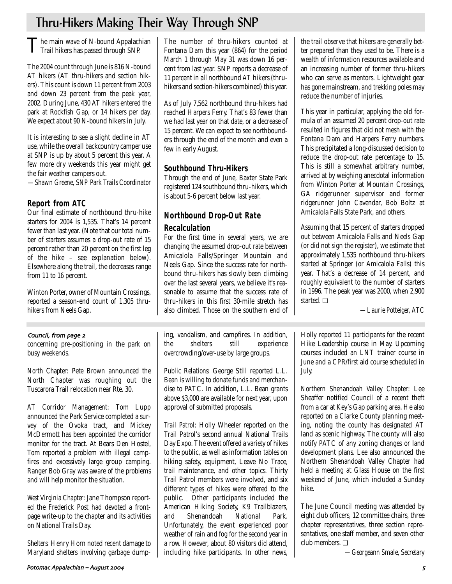# Thru-Hikers Making Their Way Through SNP

The main wave of N-bound Appalachian<br>Trail hikers has passed through SNP.

The 2004 count through June is 816 N-bound AT hikers (AT thru-hikers and section hikers). This count is down 11 percent from 2003 and down 23 percent from the peak year, 2002. During June, 430 AT hikers entered the park at Rockfish Gap, or 14 hikers per day. We expect about 90 N-bound hikers in July.

It is interesting to see a slight decline in AT use, while the overall backcountry camper use at SNP is up by about 5 percent this year. A few more dry weekends this year might get the fair weather campers out.

*—Shawn Greene, SNP Park Trails Coordinator*

# **Report from ATC**

Our final estimate of northbound thru-hike starters for 2004 is 1,535. That's 14 percent fewer than last year. (Note that our total number of starters assumes a drop-out rate of 15 percent rather than 20 percent on the first leg of the hike – see explanation below). Elsewhere along the trail, the decreases range from 11 to 16 percent.

Winton Porter, owner of Mountain Crossings, reported a season-end count of 1,305 thruhikers from Neels Gap.

### Council, from page 2

concerning pre-positioning in the park on busy weekends.

*North Chapter:* Pete Brown announced the North Chapter was roughing out the Tuscarora Trail relocation near Rte. 30.

*AT Corridor Management:* Tom Lupp announced the Park Service completed a survey of the Ovoka tract, and Mickey McDermott has been appointed the corridor monitor for the tract. At Bears Den Hostel, Tom reported a problem with illegal campfires and excessively large group camping. Ranger Bob Gray was aware of the problems and will help monitor the situation.

*West Virginia Chapter:* Jane Thompson reported the Frederick Post had devoted a frontpage write-up to the chapter and its activities on National Trails Day.

*Shelters:* Henry Horn noted recent damage to Maryland shelters involving garbage dumpThe number of thru-hikers counted at Fontana Dam this year (864) for the period March 1 through May 31 was down 16 percent from last year. SNP reports a decrease of 11 percent in all northbound AT hikers (thruhikers and section-hikers combined) this year.

As of July 7,562 northbound thru-hikers had reached Harpers Ferry. That's 83 fewer than we had last year on that date, or a decrease of 15 percent. We can expect to see northbounders through the end of the month and even a few in early August.

# **Southbound Thru-Hikers**

Through the end of June, Baxter State Park registered 124 southbound thru-hikers, which is about 5-6 percent below last year.

# **Northbound Drop-Out Rate**

# **Recalculation**

For the first time in several years, we are changing the assumed drop-out rate between Amicalola Falls/Springer Mountain and Neels Gap. Since the success rate for northbound thru-hikers has slowly been climbing over the last several years, we believe it's reasonable to assume that the success rate of thru-hikers in this first 30-mile stretch has also climbed. Those on the southern end of

ing, vandalism, and campfires. In addition, the shelters still experience overcrowding/over-use by large groups.

*Public Relations:* George Still reported L.L. Bean is willing to donate funds and merchandise to PATC. In addition, L.L. Bean grants above \$3,000 are available for next year, upon approval of submitted proposals.

*Trail Patrol:* Holly Wheeler reported on the Trail Patrol's second annual National Trails Day Expo. The event offered a variety of hikes to the public, as well as information tables on hiking safety, equipment, Leave No Trace, trail maintenance, and other topics. Thirty Trail Patrol members were involved, and six different types of hikes were offered to the public. Other participants included the American Hiking Society, K9 Trailblazers, and Shenandoah National Park. Unfortunately, the event experienced poor weather of rain and fog for the second year in a row. However, about 80 visitors did attend, including hike participants. In other news,

the trail observe that hikers are generally better prepared than they used to be. There is a wealth of information resources available and an increasing number of former thru-hikers who can serve as mentors. Lightweight gear has gone mainstream, and trekking poles may reduce the number of injuries.

This year in particular, applying the old formula of an assumed 20 percent drop-out rate resulted in figures that did not mesh with the Fontana Dam and Harpers Ferry numbers. This precipitated a long-discussed decision to reduce the drop-out rate percentage to 15. This is still a somewhat arbitrary number, arrived at by weighing anecdotal information from Winton Porter at Mountain Crossings, GA ridgerunner supervisor and former ridgerunner John Cavendar, Bob Boltz at Amicalola Falls State Park, and others.

Assuming that 15 percent of starters dropped out between Amicalola Falls and Neels Gap (or did not sign the register), we estimate that approximately 1,535 northbound thru-hikers started at Springer (or Amicalola Falls) this year. That's a decrease of 14 percent, and roughly equivalent to the number of starters in 1996. The peak year was 2000, when 2,900 started. ❏

*—Laurie Potteiger, ATC*

Holly reported 11 participants for the recent Hike Leadership course in May. Upcoming courses included an LNT trainer course in June and a CPR/first aid course scheduled in July.

*Northern Shenandoah Valley Chapter*: Lee Sheaffer notified Council of a recent theft from a car at Key's Gap parking area. He also reported on a Clarke County planning meeting, noting the county has designated AT land as scenic highway. The county will also notify PATC of any zoning changes or land development plans. Lee also announced the Northern Shenandoah Valley Chapter had held a meeting at Glass House on the first weekend of June, which included a Sunday hike.

The June Council meeting was attended by eight club officers, 12 committee chairs, three chapter representatives, three section representatives, one staff member, and seven other club members. ❏

*—Georgeann Smale, Secretary*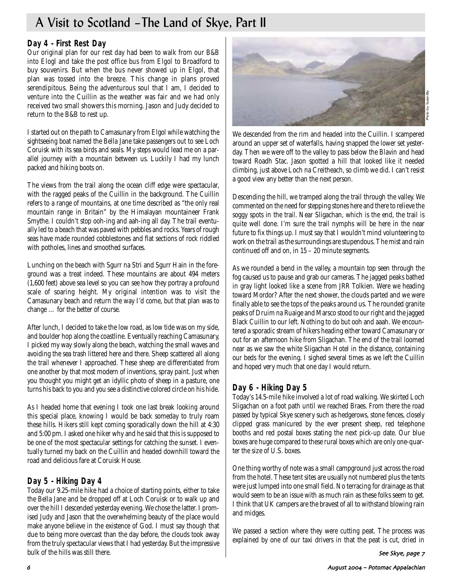# A Visit to Scotland –The Land of Skye, Part II

# **Day 4 - First Rest Day**

Our original plan for our rest day had been to walk from our B&B into Elogl and take the post office bus from Elgol to Broadford to buy souvenirs. But when the bus never showed up in Elgol, that plan was tossed into the breeze. This change in plans proved serendipitous. Being the adventurous soul that I am, I decided to venture into the Cuillin as the weather was fair and we had only received two small showers this morning. Jason and Judy decided to return to the B&B to rest up.

I started out on the path to Camasunary from Elgol while watching the sightseeing boat named the Bella Jane take passengers out to see Loch Coruisk with its sea birds and seals. My steps would lead me on a parallel journey with a mountain between us. Luckily I had my lunch packed and hiking boots on.

The views from the trail along the ocean cliff edge were spectacular, with the ragged peaks of the Cuillin in the background. The Cuillin refers to a range of mountains, at one time described as "the only real mountain range in Britain" by the Himalayan mountaineer Frank Smythe. I couldn't stop ooh-ing and aah-ing all day. The trail eventually led to a beach that was paved with pebbles and rocks. Years of rough seas have made rounded cobblestones and flat sections of rock riddled with potholes, lines and smoothed surfaces.

Lunching on the beach with Sgurr na Stri and Sgurr Hain in the foreground was a treat indeed. These mountains are about 494 meters (1,600 feet) above sea level so you can see how they portray a profound scale of soaring height. My original intention was to visit the Camasunary beach and return the way I'd come, but that plan was to change … for the better of course.

After lunch, I decided to take the low road, as low tide was on my side, and boulder hop along the coastline. Eventually reaching Camasunary, I picked my way slowly along the beach, watching the small waves and avoiding the sea trash littered here and there. Sheep scattered all along the trail whenever I approached. These sheep are differentiated from one another by that most modern of inventions, spray paint. Just when you thought you might get an idyllic photo of sheep in a pasture, one turns his back to you and you see a distinctive colored circle on his hide.

As I headed home that evening I took one last break looking around this special place, knowing I would be back someday to truly roam these hills. Hikers still kept coming sporadically down the hill at 4:30 and 5:00 pm. I asked one hiker why and he said that this is supposed to be one of the most spectacular settings for catching the sunset. I eventually turned my back on the Cuillin and headed downhill toward the road and delicious fare at Coruisk House.

# **Day 5 - Hiking Day 4**

Today our 9.25-mile hike had a choice of starting points, either to take the Bella Jane and be dropped off at Loch Coruisk or to walk up and over the hill I descended yesterday evening. We chose the latter. I promised Judy and Jason that the overwhelming beauty of the place would make anyone believe in the existence of God. I must say though that due to being more overcast than the day before, the clouds took away from the truly spectacular views that I had yesterday. But the impressive bulk of the hills was still there.



We descended from the rim and headed into the Cuillin. I scampered around an upper set of waterfalls, having snapped the lower set yesterday. Then we were off to the valley to pass below the Blavin and head toward Roadh Stac. Jason spotted a hill that looked like it needed climbing, just above Loch na Creitheach, so climb we did. I can't resist a good view any better than the next person.

Descending the hill, we tramped along the trail through the valley. We commented on the need for stepping stones here and there to relieve the soggy spots in the trail. Near Sligachan, which is the end, the trail is quite well done. I'm sure the trail nymphs will be here in the near future to fix things up. I must say that I wouldn't mind volunteering to work on the trail as the surroundings are stupendous. The mist and rain continued off and on, in 15 – 20 minute segments.

As we rounded a bend in the valley, a mountain top seen through the fog caused us to pause and grab our cameras. The jagged peaks bathed in gray light looked like a scene from JRR Tolkien. Were we heading toward Mordor? After the next shower, the clouds parted and we were finally able to see the tops of the peaks around us. The rounded granite peaks of Druim na Ruaige and Marsco stood to our right and the jagged Black Cuillin to our left. Nothing to do but ooh and aaah. We encountered a sporadic stream of hikers heading either toward Camasunary or out for an afternoon hike from Sligachan. The end of the trail loomed near as we saw the white Sligachan Hotel in the distance, containing our beds for the evening. I sighed several times as we left the Cuillin and hoped very much that one day I would return.

# **Day 6 - Hiking Day 5**

Today's 14.5-mile hike involved a lot of road walking. We skirted Loch Sligachan on a foot path until we reached Braes. From there the road passed by typical Skye scenery such as hedgerows, stone fences, closely clipped grass manicured by the ever present sheep, red telephone booths and red postal boxes stating the next pick-up date. Our blue boxes are huge compared to these rural boxes which are only one-quarter the size of U.S. boxes.

One thing worthy of note was a small campground just across the road from the hotel. These tent sites are usually not numbered plus the tents were just lumped into one small field. No terracing for drainage as that would seem to be an issue with as much rain as these folks seem to get. I think that UK campers are the bravest of all to withstand blowing rain and midges.

We passed a section where they were cutting peat. The process was explained by one of our taxi drivers in that the peat is cut, dried in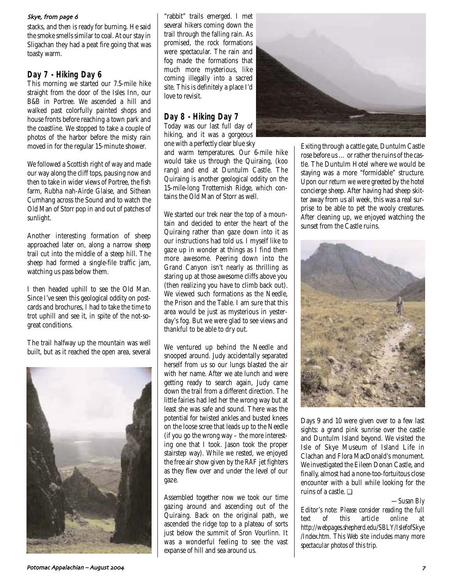#### Skye, from page 6

stacks, and then is ready for burning. He said the smoke smells similar to coal. At our stay in Sligachan they had a peat fire going that was toasty warm.

# **Day 7 - Hiking Day 6**

This morning we started our 7.5-mile hike straight from the door of the Isles Inn, our B&B in Portree. We ascended a hill and walked past colorfully painted shops and house fronts before reaching a town park and the coastline. We stopped to take a couple of photos of the harbor before the misty rain moved in for the regular 15-minute shower.

We followed a Scottish right of way and made our way along the cliff tops, pausing now and then to take in wider views of Portree, the fish farm, Rubha nah-Airde Glaise, and Sithean Cumhang across the Sound and to watch the Old Man of Storr pop in and out of patches of sunlight.

Another interesting formation of sheep approached later on, along a narrow sheep trail cut into the middle of a steep hill. The sheep had formed a single-file traffic jam, watching us pass below them.

I then headed uphill to see the Old Man. Since I've seen this geological oddity on postcards and brochures, I had to take the time to trot uphill and see it, in spite of the not-sogreat conditions.

The trail halfway up the mountain was well built, but as it reached the open area, several



"rabbit" trails emerged. I met several hikers coming down the trail through the falling rain. As promised, the rock formations were spectacular. The rain and fog made the formations that much more mysterious, like coming illegally into a sacred site. This is definitely a place I'd love to revisit.

# **Day 8 - Hiking Day 7**

Today was our last full day of hiking, and it was a gorgeous one with a perfectly clear blue sky

and warm temperatures. Our 6-mile hike would take us through the Quiraing, (koo rang) and end at Duntulm Castle. The Quiraing is another geological oddity on the 15-mile-long Trotternish Ridge, which contains the Old Man of Storr as well.

We started our trek near the top of a mountain and decided to enter the heart of the Quiraing rather than gaze down into it as our instructions had told us. I myself like to gaze up in wonder at things as I find them more awesome. Peering down into the Grand Canyon isn't nearly as thrilling as staring up at those awesome cliffs above you (then realizing you have to climb back out). We viewed such formations as the Needle the Prison and the Table. I am sure that this area would be just as mysterious in yesterday's fog. But we were glad to see views and thankful to be able to dry out.

We ventured up behind the Needle and snooped around. Judy accidentally separated herself from us so our lungs blasted the air with her name. After we ate lunch and were getting ready to search again, Judy came down the trail from a different direction. The little fairies had led her the wrong way but at least she was safe and sound. There was the potential for twisted ankles and busted knees on the loose scree that leads up to the Needle (if you go the wrong way – the more interesting one that I took. Jason took the proper stairstep way). While we rested, we enjoyed the free air show given by the RAF jet fighters as they flew over and under the level of our gaze.

Assembled together now we took our time gazing around and ascending out of the Quiraing. Back on the original path, we ascended the ridge top to a plateau of sorts just below the summit of Sron Vourlinn. It was a wonderful feeling to see the vast expanse of hill and sea around us.



Exiting through a cattle gate, Duntulm Castle rose before us … or rather the ruins of the castle. The Duntulm Hotel where we would be staying was a more "formidable" structure. Upon our return we were greeted by the hotel concierge sheep. After having had sheep skitter away from us all week, this was a real surprise to be able to pet the wooly creatures. After cleaning up, we enjoyed watching the sunset from the Castle ruins.



Days 9 and 10 were given over to a few last sights: a grand pink sunrise over the castle and Duntulm Island beyond. We visited the Isle of Skye Museum of Island Life in Clachan and Flora MacDonald's monument. We investigated the Eileen Donan Castle, and finally, almost had a none-too-fortuitous close encounter with a bull while looking for the ruins of a castle. ❏

#### *—Susan Bly*

Edito*r's note: Please consider reading the full temporine* at *http://webpages.shepherd.edu/SBLY/IslefofSkye /Index.htm. This Web site includes many more spectacular photos of this trip.*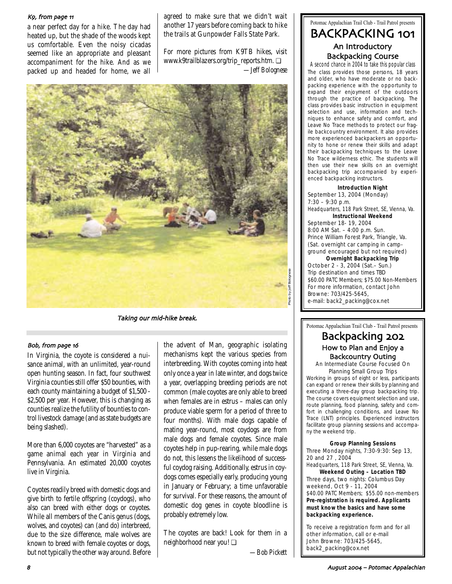#### K9, from page 11

a near perfect day for a hike. The day had heated up, but the shade of the woods kept us comfortable. Even the noisy cicadas seemed like an appropriate and pleasant accompaniment for the hike. And as we packed up and headed for home, we all

agreed to make sure that we didn't wait another 17 years before coming back to hike the trails at Gunpowder Falls State Park.

For more pictures from K9TB hikes, visit www.k9trailblazers.org/trip\_reports.htm. ❏ *—Jeff Bolognese*



Taking our mid-hike break.

#### Bob, from page 16

In Virginia, the coyote is considered a nuisance animal, with an unlimited, year-round open hunting season. In fact, four southwest Virginia counties still offer \$50 bounties, with each county maintaining a budget of \$1,500 - \$2,500 per year. However, this is changing as counties realize the futility of bounties to control livestock damage (and as state budgets are being slashed).

More than 6,000 coyotes are "harvested" as a game animal each year in Virginia and Pennsylvania. An estimated 20,000 coyotes live in Virginia.

Coyotes readily breed with domestic dogs and give birth to fertile offspring (coydogs), who also can breed with either dogs or coyotes. While all members of the Canis genus (dogs, wolves, and coyotes) can (and do) interbreed, due to the size difference, male wolves are known to breed with female coyotes or dogs, but not typically the other way around. Before

the advent of Man, geographic isolating mechanisms kept the various species from interbreeding. With coyotes coming into heat only once a year in late winter, and dogs twice a year, overlapping breeding periods are not common (male coyotes are only able to breed when females are in estrus – males can only produce viable sperm for a period of three to four months). With male dogs capable of mating year-round, most coydogs are from male dogs and female coyotes. Since male coyotes help in pup-rearing, while male dogs do not, this lessens the likelihood of successful coydog raising. Additionally, estrus in coydogs comes especially early, producing young in January or February; a time unfavorable for survival. For these reasons, the amount of domestic dog genes in coyote bloodline is probably extremely low.

The coyotes are back! Look for them in a neighborhood near you! ❏

*—Bob Pickett*

# Potomac Appalachian Trail Club - Trail Patrol presents BACKPACKING 101 An Introductory Backpacking Course

A second chance in 2004 to take this popular class The class provides those persons, 18 years and older, who have moderate or no backpacking experience with the opportunity to expand their enjoyment of the outdoors through the practice of backpacking. The class provides basic instruction in equipment selection and use, information and techniques to enhance safety and comfort, and Leave No Trace methods to protect our fragile backcountry environment. It also provides more experienced backpackers an opportunity to hone or renew their skills and adapt their backpacking techniques to the Leave No Trace wilderness ethic. The students will then use their new skills on an overnight backpacking trip accompanied by experienced backpacking instructors.

**Introduction Night** September 13, 2004 (Monday) 7:30 – 9:30 p.m. Headquarters, 118 Park Street, SE, Vienna, Va. **Instructional Weekend** September 18- 19, 2004 8:00 AM Sat. – 4:00 p.m. Sun. Prince William Forest Park, Triangle, Va. (Sat. overnight car camping in campground encouraged but not required) **Overnight Backpacking Trip** October 2 - 3, 2004 (Sat.– Sun.) Trip destination and times TBD \$60.00 PATC Members; \$75.00 Non-Members For more information, contact John Browne: 703/425-5645, e-mail: back2\_packing@cox.net

Potomac Appalachian Trail Club - Trail Patrol presents

# Backpacking 202 How to Plan and Enjoy a Backcountry Outing

An Intermediate Course Focused On Planning Small Group Trips

Working in groups of eight or less, participants can expand or renew their skills by planning and executing a three-day group backpacking trip. The course covers equipment selection and use, route planning, food planning, safety and comfort in challenging conditions, and Leave No Trace (LNT) principles. Experienced instructors facilitate group planning sessions and accompany the weekend trip.

#### **Group Planning Sessions**

Three Monday nights, 7:30-9:30: Sep 13, 20 and 27 , 2004

Headquarters, 118 Park Street, SE, Vienna, Va. **Weekend Outing – Location TBD** Three days, two nights: Columbus Day weekend, Oct 9 - 11, 2004 \$40.00 PATC Members; \$55.00 non-members **Pre-registration is required. Applicants must know the basics and have some backpacking experience.** 

To receive a registration form and for all other information, call or e-mail John Browne: 703/425-5645, back2\_packing@cox.net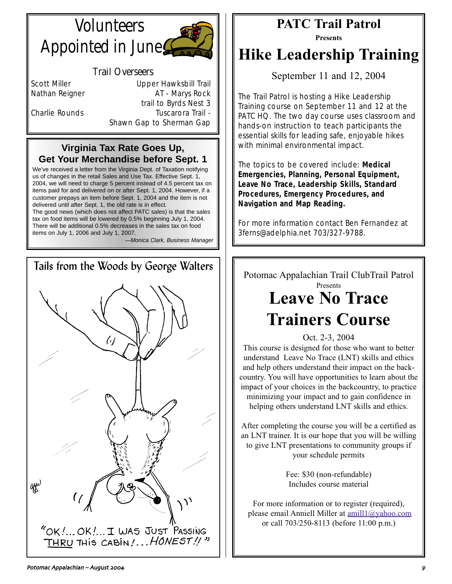# **Volunteers** Appointed in June



# Trail Overseers

Scott Miller **Contract Contract Upper Hawksbill Trail** Nathan Reigner **AT - Marys Rock** trail to Byrds Nest 3 Charlie Rounds Tuscarora Trail -Shawn Gap to Sherman Gap

# **Virginia Tax Rate Goes Up, Get Your Merchandise before Sept. 1**

We've received a letter from the Virginia Dept. of Taxation notifying us of changes in the retail Sales and Use Tax. Effective Sept. 1, 2004, we will need to charge 5 percent instead of 4.5 percent tax on items paid for and delivered on or after Sept. 1, 2004. However, if a customer prepays an item before Sept. 1, 2004 and the item is not delivered until after Sept. 1, the old rate is in effect.

The good news (which does not affect PATC sales) is that the sales tax on food items will be lowered by 0.5% beginning July 1, 2004. There will be additional 0.5% decreases in the sales tax on food items on July 1, 2006 and July 1, 2007.

—Monica Clark, Business Manager



# **PATC Trail Patrol**

**Presents**

# **Hike Leadership Training**

September 11 and 12, 2004

The Trail Patrol is hosting a Hike Leadership Training course on September 11 and 12 at the PATC HQ. The two day course uses classroom and hands-on instruction to teach participants the essential skills for leading safe, enjoyable hikes with minimal environmental impact.

The topics to be covered include: **Medical Emergencies, Planning, Personal Equipment, Leave No Trace, Leadership Skills, Standard Procedures, Emergency Procedures, and Navigation and Map Reading.**

For more information contact Ben Fernandez at 3ferns@adelphia.net 703/327-9788.

Potomac Appalachian Trail ClubTrail Patrol Presents **Leave No Trace Trainers Course**

Oct. 2-3, 2004

This course is designed for those who want to better understand Leave No Trace (LNT) skills and ethics and help others understand their impact on the backcountry. You will have opportunities to learn about the impact of your choices in the backcountry, to practice minimizing your impact and to gain confidence in helping others understand LNT skills and ethics.

After completing the course you will be a certified as an LNT trainer. It is our hope that you will be willing to give LNT presentations to community groups if your schedule permits

> Fee: \$30 (non-refundable) Includes course material

For more information or to register (required), please email Anniell Miller at amill1@yahoo.com or call 703/250-8113 (before 11:00 p.m.)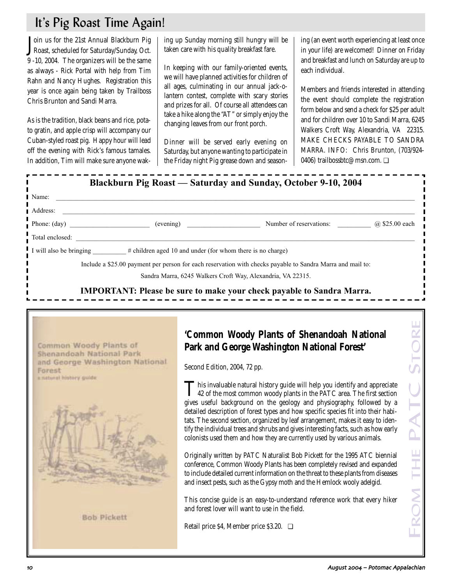# It's Pig Roast Time Again!

**J**oin us for the 21st Annual Blackburn Pig<br>Roast, scheduled for Saturday/Sunday, Oct. Roast, scheduled for Saturday/Sunday, Oct. 9 -10, 2004. The organizers will be the same as always - Rick Portal with help from Tim Rahn and Nancy Hughes. Registration this year is once again being taken by Trailboss Chris Brunton and Sandi Marra.

As is the tradition, black beans and rice, potato gratin, and apple crisp will accompany our Cuban-styled roast pig. Happy hour will lead off the evening with Rick's famous tamales. In addition, Tim will make sure anyone waking up Sunday morning still hungry will be taken care with his quality breakfast fare.

In keeping with our family-oriented events, we will have planned activities for children of all ages, culminating in our annual jack-olantern contest, complete with scary stories and prizes for all. Of course all attendees can take a hike along the "AT" or simply enjoy the changing leaves from our front porch.

Dinner will be served early evening on Saturday, but anyone wanting to participate in the Friday night Pig grease down and seasoning (an event worth experiencing at least once in your life) are welcomed! Dinner on Friday and breakfast and lunch on Saturday are up to each individual.

Members and friends interested in attending the event should complete the registration form below and send a check for \$25 per adult and for children over 10 to Sandi Marra, 6245 Walkers Croft Way, Alexandria, VA 22315. MAKE CHECKS PAYABLE TO SANDRA MARRA. INFO: Chris Brunton, (703/924- 0406) trailbossbtc@msn.com. <del></del>

| l Name:                                                                                                                   | <u> 1980 - Johann Barn, mars ann an t-Amhain ann an t-Amhain an t-Amhain an t-Amhain an t-Amhain an t-Amhain an t-</u>                                                                                                                                                                                                                                                                                                                                                                                                                                                                                                                                                                                                                                                                                                                                                                                                                                                                                                                 |     |
|---------------------------------------------------------------------------------------------------------------------------|----------------------------------------------------------------------------------------------------------------------------------------------------------------------------------------------------------------------------------------------------------------------------------------------------------------------------------------------------------------------------------------------------------------------------------------------------------------------------------------------------------------------------------------------------------------------------------------------------------------------------------------------------------------------------------------------------------------------------------------------------------------------------------------------------------------------------------------------------------------------------------------------------------------------------------------------------------------------------------------------------------------------------------------|-----|
|                                                                                                                           |                                                                                                                                                                                                                                                                                                                                                                                                                                                                                                                                                                                                                                                                                                                                                                                                                                                                                                                                                                                                                                        |     |
|                                                                                                                           |                                                                                                                                                                                                                                                                                                                                                                                                                                                                                                                                                                                                                                                                                                                                                                                                                                                                                                                                                                                                                                        |     |
|                                                                                                                           |                                                                                                                                                                                                                                                                                                                                                                                                                                                                                                                                                                                                                                                                                                                                                                                                                                                                                                                                                                                                                                        |     |
|                                                                                                                           | I will also be bringing _________# children aged 10 and under (for whom there is no charge)                                                                                                                                                                                                                                                                                                                                                                                                                                                                                                                                                                                                                                                                                                                                                                                                                                                                                                                                            |     |
|                                                                                                                           | Include a \$25.00 payment per person for each reservation with checks payable to Sandra Marra and mail to:                                                                                                                                                                                                                                                                                                                                                                                                                                                                                                                                                                                                                                                                                                                                                                                                                                                                                                                             |     |
|                                                                                                                           | Sandra Marra, 6245 Walkers Croft Way, Alexandria, VA 22315.                                                                                                                                                                                                                                                                                                                                                                                                                                                                                                                                                                                                                                                                                                                                                                                                                                                                                                                                                                            |     |
|                                                                                                                           | <b>IMPORTANT: Please be sure to make your check payable to Sandra Marra.</b>                                                                                                                                                                                                                                                                                                                                                                                                                                                                                                                                                                                                                                                                                                                                                                                                                                                                                                                                                           |     |
| Common Woody Plants of<br>Shenandoah National Park<br>and George Washington National<br>Forest<br>a natural history guide | 'Common Woody Plants of Shenandoah National<br>Park and George Washington National Forest'<br>Second Edition, 2004, 72 pp.<br>This invaluable natural history guide will help you identify and appreciate<br>142 of the most common woody plants in the PATC area. The first section<br>gives useful background on the geology and physiography, followed by a<br>detailed description of forest types and how specific species fit into their habi-<br>tats. The second section, organized by leaf arrangement, makes it easy to iden-<br>tify the individual trees and shrubs and gives interesting facts, such as how early<br>colonists used them and how they are currently used by various animals.<br>Originally written by PATC Naturalist Bob Pickett for the 1995 ATC biennial<br>conference, Common Woody Plants has been completely revised and expanded<br>to include detailed current information on the threat to these plants from diseases<br>and insect pests, such as the Gypsy moth and the Hemlock wooly adelgid. | THE |
| <b>Bob Pickett</b>                                                                                                        | This concise guide is an easy-to-understand reference work that every hiker<br>and forest lover will want to use in the field.<br>Retail price \$4, Member price \$3.20. $\Box$                                                                                                                                                                                                                                                                                                                                                                                                                                                                                                                                                                                                                                                                                                                                                                                                                                                        |     |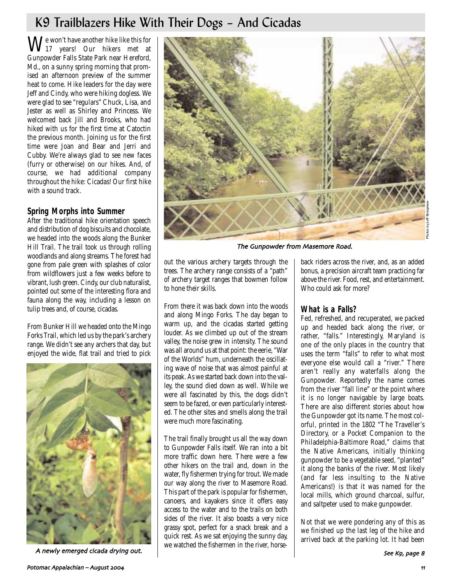# K9 Trailblazers Hike With Their Dogs – And Cicadas

 $\mathbf{W}^\text{e}$  won't have another hike like this for  $^\text{17}$  years! Our hikers met at Gunpowder Falls State Park near Hereford, Md., on a sunny spring morning that promised an afternoon preview of the summer heat to come. Hike leaders for the day were Jeff and Cindy, who were hiking dogless. We were glad to see "regulars" Chuck, Lisa, and Jester as well as Shirley and Princess. We welcomed back Jill and Brooks, who had hiked with us for the first time at Catoctin the previous month. Joining us for the first time were Joan and Bear and Jerri and Cubby. We're always glad to see new faces (furry or otherwise) on our hikes. And, of course, we had additional company throughout the hike: Cicadas! Our first hike with a sound track.

# **Spring Morphs into Summer**

After the traditional hike orientation speech and distribution of dog biscuits and chocolate, we headed into the woods along the Bunker Hill Trail. The trail took us through rolling woodlands and along streams. The forest had gone from pale green with splashes of color from wildflowers just a few weeks before to vibrant, lush green. Cindy, our club naturalist, pointed out some of the interesting flora and fauna along the way, including a lesson on tulip trees and, of course, cicadas.

From Bunker Hill we headed onto the Mingo Forks Trail, which led us by the park's archery range. We didn't see any archers that day, but enjoyed the wide, flat trail and tried to pick



A newly emerged cicada drying out. And the material distribution in the first, hence  $\vert$ 



The Gunpowder from Masemore Road

out the various archery targets through the trees. The archery range consists of a "path" of archery target ranges that bowmen follow to hone their skills.

From there it was back down into the woods and along Mingo Forks. The day began to warm up, and the cicadas started getting louder. As we climbed up out of the stream valley, the noise grew in intensity. The sound was all around us at that point: the eerie, "War of the Worlds" hum, underneath the oscillating wave of noise that was almost painful at its peak. As we started back down into the valley, the sound died down as well. While we were all fascinated by this, the dogs didn't seem to be fazed, or even particularly interested. The other sites and smells along the trail were much more fascinating.

The trail finally brought us all the way down to Gunpowder Falls itself. We ran into a bit more traffic down here. There were a few other hikers on the trail and, down in the water, fly fishermen trying for trout. We made our way along the river to Masemore Road. This part of the park is popular for fishermen, canoers, and kayakers since it offers easy access to the water and to the trails on both sides of the river. It also boasts a very nice grassy spot, perfect for a snack break and a quick rest. As we sat enjoying the sunny day, we watched the fishermen in the river, horseback riders across the river, and, as an added bonus, a precision aircraft team practicing far above the river. Food, rest, and entertainment. Who could ask for more?

# **What is a Falls?**

Fed, refreshed, and recuperated, we packed up and headed back along the river, or rather, "falls." Interestingly, Maryland is one of the only places in the country that uses the term "falls" to refer to what most everyone else would call a "river." There aren't really any waterfalls along the Gunpowder. Reportedly the name comes from the river "fall line" or the point where it is no longer navigable by large boats. There are also different stories about how the Gunpowder got its name. The most colorful, printed in the 1802 "The Traveller's Directory, or a Pocket Companion to the Philadelphia-Baltimore Road," claims that the Native Americans, initially thinking gunpowder to be a vegetable seed, "planted" it along the banks of the river. Most likely (and far less insulting to the Native Americans!) is that it was named for the local mills, which ground charcoal, sulfur, and saltpeter used to make gunpowder.

Not that we were pondering any of this as we finished up the last leg of the hike and arrived back at the parking lot. It had been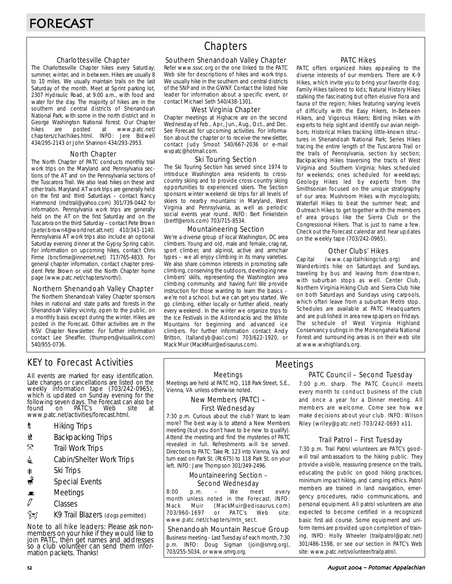#### Charlottesville Chapter

The Charlottesville Chapter hikes every Saturday; summer, winter, and in between. Hikes are usually 8 to 10 miles. We usually maintain trails on the last Saturday of the month. Meet at Sprint parking lot, 2307 Hydraulic Road, at 9:00 a.m., with food and water for the day. The majority of hikes are in the southern and central districts of Shenandoah National Park, with some in the north district and in George Washington National Forest. Our Chapter<br>hikes are posted at www.patc.net/ hikes are posted at www.patc.net/ chapters/char/hikes.html. INFO: Jere Bidwell 434/295-2143 or John Shannon 434/293-2953.

#### North Chapter

The North Chapter of PATC conducts monthly trail work trips on the Maryland and Pennsylvania sections of the AT and on the Pennsylvania sections of the Tuscarora Trail. We also lead hikes on these and other trails. Maryland AT work trips are generally held on the first and third Saturdays – contact Nancy Hammond (mdtrail@yahoo.com) 301/739-0442 for information. Pennsylvania work trips are generally held on the AT on the first Saturday and on the Tuscarora on the third Saturday – contact Pete Brown (peter.brown4@worldnet.att.net) 410/343-1140. Pennsylvania AT work trips also include an optional Saturday evening dinner at the Gypsy Spring cabin. For information on upcoming hikes, contact Chris Firme (bncfirme@innernet.net) 717/765-4833. For general chapter information, contact chapter president Pete Brown or visit the North Chapter home page (www.patc.net/chapters/north/).

#### Northern Shenandoah Valley Chapter

The Northern Shenandoah Valley Chapter sponsors hikes in national and state parks and forests in the Shenandoah Valley vicinity, open to the public, on a monthly basis except during the winter. Hikes are posted in the Forecast. Other activities are in the NSV Chapter Newsletter. For further information contact Lee Sheaffer, (thumpers@visuallink.com) 540/955-0736.

# **Chapters**

#### Southern Shenandoah Valley Chapter

Refer www.ssvc.org or the one linked to the PATC Web site for descriptions of hikes and work trips. We usually hike in the southern and central districts of the SNP and in the GWNF. Contact the listed hike leader for information about a specific event, or contact Michael Seth 540/438-1301.

#### West Virginia Chapter

Chapter meetings at Highacre are on the second Wednesday of Feb., Apr., Jun., Aug., Oct., and Dec. See Forecast for upcoming activities. For information about the chapter or to receive the newsletter, contact Judy Smoot 540/667-2036 or e-mail wvpatc@hotmail.com.

#### Ski Touring Section

The Ski Touring Section has served since 1974 to introduce Washington area residents to crosscountry skiing and to provide cross-country skiing opportunities to experienced skiers. The Section sponsors winter weekend ski trips for all levels of skiers to nearby mountains in Maryland, West Virginia and Pennsylvania, as well as periodic social events year round. INFO: Bert Finkelstein (bertf@erols.com) 703/715-8534.

#### Mountaineering Section

We're a diverse group of local Washington, DC area climbers. Young and old, male and female, crag rat, sport climber, and alpinist, active and armchair types – we all enjoy climbing in its many varieties. We also share common interests in promoting safe climbing, conserving the outdoors, developing new climbers' skills, representing the Washington area climbing community, and having fun! We provide instruction for those wanting to learn the basics – we're not a school, but we can get you started. We go climbing, either locally or further afield, nearly every weekend. In the winter we organize trips to the Ice Festivals in the Adirondacks and the White Mountains for beginning and advanced ice climbers. For further information contact Andy Britton, (tallandyb@aol.com) 703/622-1920, or Mack Muir (MackMuir@edisaurus.com).

#### PATC Hikes

PATC offers organized hikes appealing to the diverse interests of our members. There are K-9 Hikes, which invite you to bring your favorite dog; Family Hikes tailored to kids; Natural History Hikes stalking the fascinating but often elusive flora and fauna of the region; hikes featuring varying levels of difficulty with the Easy Hikers, In-Between Hikers, and Vigorous Hikers; Birding Hikes with experts to help sight and identify our avian neighbors; Historical Hikes tracking little-known structures in Shenandoah National Park; Series Hikes tracing the entire length of the Tuscarora Trail or the trails of Pennsylvania, section by section; Backpacking Hikes traversing the tracts of West Virginia and Southern Virginia; hikes scheduled for weekends; ones scheduled for weekdays; Geology Hikes led by experts from the Smithsonian focused on the unique stratigraphy of our area; Mushroom Hikes with mycologists; Waterfall Hikes to beat the summer heat; and Outreach Hikes to get together with the members of area groups like the Sierra Club or the Congressional Hikers. That is just to name a few. Check out the Forecast calendar and hear updates on the weekly tape (703/242-0965).

#### Other Clubs' Hikes

Capital (www.capitalhikingclub.org) and Wanderbirds hike on Saturdays and Sundays, traveling by bus and leaving from downtown, with suburban stops as well. Center Club, Northern Virginia Hiking Club and Sierra Club hike on both Saturdays and Sundays using carpools, which often leave from a suburban Metro stop. Schedules are available at PATC Headquarters and are published in area newspapers on Fridays. The schedule of West Virginia Highland Conservancy outings in the Monongahela National Forest and surrounding areas is on their web site at www.wvhighlands.org.

# KEY to Forecast Activities

All events are marked for easy identification. Late changes or cancellations are listed on the weekly information tape (703/242-0965), which is updated on Sunday evening for the following seven days. The Forecast can also be<br>found on PATC's Web site at PÁTC's www.patc.net/activities/forecast.html.

- **\*** Hiking Trips
- \* Backpacking Trips
- $\mathcal{R}$  Trail Work Trips
- **i** Cabin/Shelter Work Trips
- **A** Ski Trips
- Special Events
- $\blacksquare$  Meetings
- $\varnothing$  Classes
- $\hat{}$  $\hat{}$  $\hat{}$  $\hat{}$

Note to all hike leaders: Please ask nonmembers on your hike if they would like to join PATC, then get names and addresses so a club volunteer can send them information packets. Thanks!

#### Meetings

Meetings are held at PATC HQ, 118 Park Street, S.E., Vienna, VA unless otherwise noted.

#### New Members (PATC) – First Wednesday

7:30 p.m. Curious about the club? Want to learn more? The best way is to attend a New Members meeting (but you don't have to be new to qualify). Attend the meeting and find the mysteries of PATC revealed in full. Refreshments will be served. Directions to PATC: Take Rt. 123 into Vienna, Va. and turn east on Park St. (Rt.675) to 118 Park St. on your left. INFO: Jane Thompson 301/349-2496.

#### Mountaineering Section – Second Wednesday

8:00 p.m. – We meet every month unless noted in the Forecast. INFO: Mack Muir (MackMuir@edisaurus.com)<br>703/960-1697 or PATC's Web site: 703/960-1697 or PATC's Web site: www.patc.net/chapters/mtn\_sect.

#### Shenandoah Mountain Rescue Group

Business meeting - Last Tuesday of each month, 7:30 p.m. INFO: Doug Sigman (join@smrg.org), 703/255-5034, or www.smrg.org.

### PATC Council – Second Tuesday Meetings

7:00 p.m. sharp. The PATC Council meets every month to conduct business of the club and once a year for a Dinner meeting. All members are welcome. Come see how we make decisions about your club. INFO: Wilson Riley (wriley@patc.net) 703/242-0693 x11.

#### Trail Patrol – First Tuesday

7:30 p.m. Trail Patrol volunteers are PATC's goodwill trail ambassadors to the hiking public. They provide a visible, reassuring presence on the trails, educating the public on good hiking practices, minimum impact hiking, and camping ethics. Patrol members are trained in land navigation, emergency procedures, radio communications, and personal equipment. All patrol volunteers are also expected to become certified in a recognized basic first aid course. Some equipment and uniform items are provided upon completion of training. INFO: Holly Wheeler (trailpatrol@patc.net) 301/486-1598, or see our section in PATC's Web site: www.patc.net/volunteer/trailpatrol.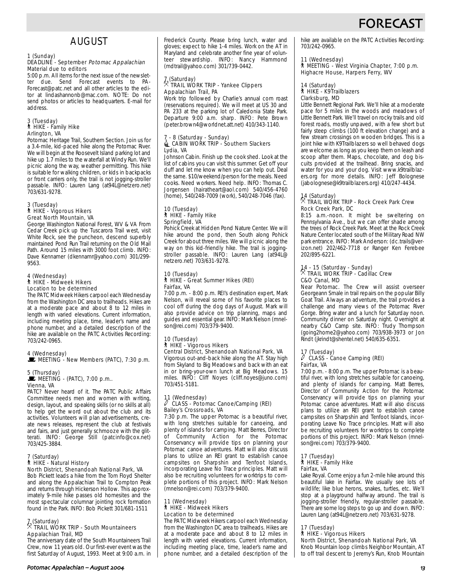

# AUGUST

#### 1 (Sunday) DEADLINE - September Potomac Appalachian Material due to editors

5:00 p.m. All items for the next issue of the newsletter due. Send Forecast events to PA-Forecast@patc.net and all other articles to the editor at lindashannonb@mac.com. NOTE: Do not send photos or articles to headquarters. E-mail for address.

#### 3 (Tuesday) ` HIKE - Family Hike Arlington, VA

Potomac Heritage Trail, Southern Section. Join us for a 3.4-mile, kid-paced hike along the Potomac River. We will begin at the Roosevelt Island parking lot and hike up 1.7 miles to the waterfall at Windy Run. We'll picnic along the way, weather permitting. This hike is suitable for walking children, or kids in backpacks or front carriers only, the trail is not jogging-stroller passable. INFO: Lauren Lang (at94L@netzero.net) 703/631-9278.

#### 3 (Tuesday) ` HIKE - Vigorous Hikers Great North Mountain, VA

George Washington National Forest, WV & VA From Cedar Creek pick up the Tuscarora Trail west, visit White Rock, see the puncheon, descend superbly maintained Pond Run Trail returning on the Old Mail Path. Around 15 miles with 3000 foot climb. INFO: Dave Kennamer (dkennamr@yahoo.com) 301/299- 9563.

#### 4 (Wednesday) ` HIKE - Midweek Hikers Location to be determined

The PATC Midweek Hikers carpool each Wednesday from the Washington DC area to trailheads. Hikes are at a moderate pace and about 8 to 12 miles in length with varied elevations. Current information, including meeting place, time, leader's name and phone number, and a detailed description of the hike are available on the PATC Activities Recording: 703/242-0965.

4 (Wednesday)<br>█ MEETING - New Members (PATC), 7:30 p.m.

### 5 (Thursday)

 $\mathbf{\mathbf{\dot{w}}}$  MEETING - (PATC), 7:00 p.m.. Vienna, VA

PATC? Never heard of it. The PATC Public Affairs Committee needs men and women with writing, design, layout, and speaking skills (or no skills at all) to help get the word out about the club and its activities. Volunteers will plan advertisements, create news releases, represent the club at festivals and fairs, and just generally schmooze with the glitterati. INFO: George Still (patcinfo@cox.net) 703/425-3884.

#### 7 (Saturday) ` HIKE - Natural History North District, Shenandoah National Park, VA

Bob Pickett leads a hike from the Tom Floyd Shelter and along the Appalachian Trail to Compton Peak and returns through Hickerson Hollow. This approximately 9-mile hike passes old homesites and the most spectacular columnar jointing rock formation found in the Park. INFO: Bob Pickett 301/681-1511

### 7 (Saturday) . TRAIL WORK TRIP - South Mountaineers Appalachian Trail, MD

The anniversary date of the South Mountaineers Trail Crew, now 11 years old. Our first-ever event was the first Saturday of August, 1993. Meet at 9:00 a.m. in Frederick County. Please bring lunch, water and gloves; expect to hike 1-4 miles. Work on the AT in Maryland and celebrate another fine year of volunteer stewardship. INFO: Nancy Hammond (mdtrail@yahoo.com) 301/739-0442.

# 7 (Saturday) . TRAIL WORK TRIP - Yankee Clippers Appalachian Trail, PA

Work trip followed by Charlie's annual corn roast (reservations required). We will meet at US 30 and PA 233 at the parking lot of Caledonia State Park. Departure 9:00 a.m. sharp. INFO: Pete Brown (peter.brown4@worldnet.att.net) 410/343-1140.

#### 7 - 8 (Saturday - Sunday) CABIN WORK TRIP - Southern Slackers Lydia, VA

Johnson Cabin. Finish up the cook shed. Look at the list of cabins you can visit this summer. Get off your duff and let me know when you can help out. Deal the same. \$10/weekend/person for the meals. Need cooks. Need workers. Need help. INFO: Thomas C. Jorgensen (hairatheart@aol.com) 540/456-4760 (home), 540/248-7009 (work), 540/248-7046 (fax).

#### 10 (Tuesday) ` HIKE - Family Hike Springfield, VA

Pohick Creek at Hidden Pond Nature Center. We will hike around the pond, then South along Pohick Creek for about three miles. We will picnic along the way on this kid-friendly hike. The trail is joggingstroller passable. INFO: Lauren Lang (at94L@ netzero.net) 703/631-9278.

# 10 (Tuesday)

#### ` HIKE - Great Summer Hikes (REI) Fairfax, VA

7:00 p.m. - 8:00 p.m. REI's destination expert, Mark Nelson, will reveal some of his favorite places to cool off during the dog days of August. Mark will also provide advice on trip planning, maps and guides and essential gear. INFO: Mark Nelson (mnelson@rei.com) 703/379-9400.

#### 10 (Tuesday) ` HIKE - Vigorous Hikers

Central District, Shenandoah National Park, VA Vigorous out-and-back hike along the AT. Stay high from Skyland to Big Meadows and back with an eat in or bring-your-own lunch at Big Meadows. 15 miles. INFO: Cliff Noyes (cliff.noyes@juno.com) 703/451-5181.

#### 11 (Wednesday) a CLASS - Potomac Canoe/Camping (REI) Bailey's Crossroads, VA

7:30 p.m. The upper Potomac is a beautiful river, with long stretches suitable for canoeing, and plenty of islands for camping. Matt Berres, Director of Community Action for the Potomac Conservancy will provide tips on planning your Potomac canoe adventures. Matt will also discuss plans to utilize an REI grant to establish canoe campsites on Sharpshin and Tenfoot Islands, incorporating Leave No Trace principles. Matt will also be recruiting volunteers for worktrips to complete portions of this project. INFO: Mark Nelson (mnelson@rei.com) 703/379-9400.

#### 11 (Wednesday) ` HIKE - Midweek Hikers Location to be determined

The PATC Midweek Hikers carpool each Wednesday from the Washington DC area to trailheads. Hikes are at a moderate pace and about 8 to 12 miles in length with varied elevations. Current information, including meeting place, time, leader's name and phone number, and a detailed description of the hike are available on the PATC Activities Recording: 703/242-0965.

#### 11 (Wednesday)

` MEETING - West Virginia Chapter, 7:00 p.m. Highacre House, Harpers Ferry, WV

#### 14 (Saturday) ` HIKE - K9Trailblazers Clarksburg, MD

Little Bennett Regional Park. We'll hike at a moderate pace for 5 miles in the woods and meadows of Little Bennett Park. We'll travel on rocky trails and old forest roads, mostly unpaved, with a few short but fairly steep climbs (100 ft elevation change) and a few stream crossings on wooden bridges. This is a joint hike with K9Trailblazers so well behaved dogs are welcome as long as you keep them on leash and scoop after them. Maps, chocolate, and dog biscuits provided at the trailhead. Bring snacks, and water for you and your dog. Visit www.k9trailblazers.org for more details. INFO: Jeff Bolognese (jabolognese@k9trailblazers.org) 410/247-4434.

### 14 (Saturday) . TRAIL WORK TRIP - Rock Creek Park Crew Rock Creek Park, DC

8:15 a.m.-noon. It might be sweltering on Pennsylvania Ave., but we can offer shade among the trees of Rock Creek Park. Meet at the Rock Creek Nature Center located south of the Military Road NW park entrance. INFO: Mark Anderson: (dc.trails@verizon.net) 202/462-7718 or Ranger Ken Ferebee 202/895-6221.

# 14 - 15 (Saturday - Sunday) . TRAIL WORK TRIP - Cadillac Crew C&O Canal, MD

Near Potomac. The Crew will assist overseer Georgeann Smale in trail repairs on the popular Billy Goat Trail. Always an adventure, the trail provides a challenge and many views of the Potomac River Gorge. Bring water and a lunch for Saturday noon. Community dinner on Saturday night. Overnight at nearby C&O Camp site. INFO: Trudy Thompson (going2home2@yahoo.com) 703/938-3973 or Jon Rindt (jkrindt@shentel.net) 540/635-6351.

# 17 (Tuesday) a CLASS - Canoe Camping (REI) Fairfax, VA

7:00 p.m. - 8:00 p.m. The upper Potomac is a beautiful river, with long stretches suitable for canoeing, and plenty of islands for camping. Matt Berres, Director of Community Action for the Potomac Conservancy will provide tips on planning your Potomac canoe adventures. Matt will also discuss plans to utilize an REI grant to establish canoe campsites on Sharpshin and Tenfoot Islands, incorporating Leave No Trace principles. Matt will also be recruiting volunteers for worktrips to complete portions of this project. INFO: Mark Nelson (mnelson@rei.com) 703/379-9400.

#### 17 (Tuesday) ` HIKE - Family Hike Fairfax, VA

Lake Royal. Come enjoy a fun 2-mile hike around this beautiful lake in Fairfax. We usually see lots of wildlife; like blue herons, snakes, turtles, etc. We'll stop at a playground halfway around. The trail is jogging-stroller friendly, regular-stroller passable. There are some log steps to go up and down. INFO: Lauren Lang (at94L@netzero.net) 703/631-9278.

#### 17 (Tuesday)

#### **A** HIKE - Vigorous Hikers

North District, Shenandoah National Park, VA Knob Mountain loop climbs Neighbor Mountain, AT to off trail descent to Jeremy's Run, Knob Mountain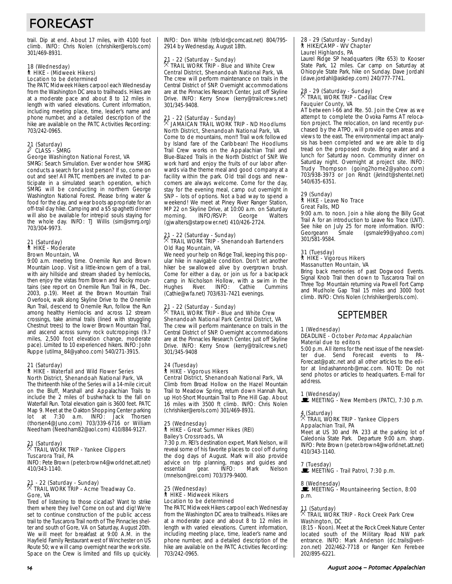# FORECAST

trail. Dip at end. About 17 miles, with 4100 foot climb. INFO: Chris Nolen (chrishiker@erols.com) 301/469-8931.

# 18 (Wednesday) ` HIKE - (Midweek Hikers) Location to be determined

The PATC Midweek Hikers carpool each Wednesday from the Washington DC area to trailheads. Hikes are at a moderate pace and about 8 to 12 miles in length with varied elevations. Current information, including meeting place, time, leader's name and phone number, and a detailed description of the hike are available on the PATC Activities Recording: 703/242-0965.

# 21 (Saturday) a CLASS - SMRG George Washington National Forest, VA

SMRG: Search Simulation. Ever wonder how SMRG conducts a search for a lost person? If so, come on out and see! All PATC members are invited to participate in a simulated search operation, which SMRG will be conducting in northern George Washington National Forest. Please bring water & food for the day, and wear boots appropriate for an off-trail day hike. Camping and a \$5 spaghetti dinner will also be available for intrepid souls staying for the whole day. INFO: TJ Willis (sim@smrg.org) 703/304-9973.

#### 21 (Saturday) ` HIKE - Moderate Brown Mountain, VA

9:00 a.m. meeting time. Onemile Run and Brown Mountain Loop. Visit a little-known gem of a trail, with airy hillside and stream shaded by hemlocks, then enjoy the vistas from Brown and Rocky mountains (see report on Onemile Run Trail in PA, Dec. 2003, p.19). Meet at the Brown Mountain Trail Overlook, walk along Skyline Drive to the Onemile Run Trail, descend to Onemile Run, follow the Run among healthy Hemlocks and across 12 stream crossings, take animal trails (lined with struggling Chestnut trees) to the lower Brown Mountain Trail, and ascend across sunny rock outcroppings (9.7 miles, 2,500 foot elevation change, moderate pace). Limited to 10 experienced hikers. INFO: John Ruppe (utilma\_84@yahoo.com) 540/271-3915.

#### 21 (Saturday)

#### ` HIKE - Waterfall and Wild Flower Series North District, Shenandoah National Park, VA

The thirteenth hike of the Series will a 14-mile circuit on the Bluff, Marshall and Appalachian Trails to include the 2 miles of bushwhack to the fall on Waterfall Run. Total elevation gain is 3600 feet. PATC Map 9. Meet at the Oakton Shopping Center parking lot at 7:30 a.m. INFO: Jack Thorsen (thorsen4@Juno.com) 703/339-6716 or William Needham (Needham82@aol.com) 410/884-9127.

### 21 (Saturday) . TRAIL WORK TRIP - Yankee Clippers Tuscarora Trail, PA

INFO: Pete Brown (peter.brown4@worldnet.att.net) 410/343-1140.

# 21 - 22 (Saturday - Sunday) . TRAIL WORK TRIP - Acme Treadway Co. Gore, VA

Tired of listening to those cicadas? Want to strike them where they live? Come on out and dig! We're set to continue construction of the public access trail to the Tuscarora Trail north of The Pinnacles shelter and south of Gore, VA on Saturday, August 20th. We will meet for breakfast at 9:00 A.M. in the Hayfield Family Restaurant west of Winchester on US Route 50; we will camp overnight near the work site. Space on the Crew is limited and fills up quickly. INFO: Don White (trlbldr@comcast.net) 804/795- 2914 by Wednesday, August 18th.

# 21 - 22 (Saturday - Sunday) . TRAIL WORK TRIP - Blue and White Crew Central District, Shenandoah National Park, VA The crew will perform maintenance on trails in the

Central District of SNP. Overnight accommodations are at the Pinnacles Research Center, just off Skyline Drive. INFO: Kerry Snow (kerry@trailcrews.net) 301/345-9408.

# 21 - 22 (Saturday - Sunday) . JAMAICAN TRAIL WORK TRIP - ND Hoodlums North District, Shenandoah National Park, VA

Come to de mountains, mon!! Trail work followed by Island fare of the Caribbean! The Hoodlums Trail Crew works on the Appalachian Trail and Blue-Blazed Trails in the North District of SNP. We work hard and enjoy the fruits of our labor afterwards via the theme meal and good company at a facility within the park. Old trail dogs and newcomers are always welcome. Come for the day, stay for the evening meal, camp out overnight in SNP – lots of options. Not a bad way to spend a weekend! We meet at Piney River Ranger Station, MP 22 on Skyline Drive, at 10:00 a.m. on Saturday<br>morning. INFO/RSVP: George Walters morning. INFO/RSVP: (gjwalters@starpower.net) 410/426-2724.

# 21 - 22 (Saturday - Sunday) . TRAIL WORK TRIP - Shenandoah Bartenders Old Rag Mountain, VA

We need your help on Ridge Trail, keeping this popular hike in navigable condition. Don't let another hiker be swallowed alive by overgrown brush. Come for either a day, or join us for a backpack camp in Nicholson Hollow, with a swim in the<br>Hughes River. INFO: Cathie Cummins INFO: Cathie (Cathie@wfa.net) 703/631-7421 evenings.

#### 21 - 22 (Saturday - Sunday) **R** TRAIL WORK TRIP - Blue and White Crew Shenandoah National Park Central District, VA

The crew will perform maintenance on trails in the Central District of SNP. Overnight accommodations are at the Pinnacles Research Center, just off Skyline Drive. INFO: Kerry Snow (kerry@trailcrews.net) 301/345-9408

#### 24 (Tuesday) ` HIKE - Vigorous Hikers

Central District, Shenandoah National Park, VA Climb from Broad Hollow on the Hazel Mountain Trail to Meadow Spring, return down Hannah Run, up Hot-Short Mountain Trail to Pine Hill Gap. About 16 miles with 3500 ft climb. INFO: Chris Nolen (chrishiker@erols.com) 301/469-8931.

#### 25 (Wednesday) ` HIKE - Great Summer Hikes (REI) Bailey's Crossroads, VA

7:30 p.m. REI's destination expert, Mark Nelson, will reveal some of his favorite places to cool off during the dog days of August. Mark will also provide advice on trip planning, maps and guides and<br>essential qear. INFO: Mark Nelson essential (mnelson@rei.com) 703/379-9400.

#### 25 (Wednesday) ` HIKE - Midweek Hikers Location to be determined

The PATC Midweek Hikers carpool each Wednesday from the Washington DC area to trailheads. Hikes are at a moderate pace and about 8 to 12 miles in length with varied elevations. Current information, including meeting place, time, leader's name and phone number, and a detailed description of the hike are available on the PATC Activities Recording: 703/242-0965.

# 28 - 29 (Saturday - Sunday) ` HIKE/CAMP - WV Chapter Laurel Highlands, PA

Laurel Ridge SP headquarters (Rte 653) to Kooser State Park, 12 miles. Car camp on Saturday at Ohiopyle State Park, hike on Sunday. Dave Jordahl (dave.jordahl@askdep.com) 240/777-7741.

# 28 - 29 (Saturday - Sunday) . TRAIL WORK TRIP - Cadillac Crew Fauquier County, VA

AT between I-66 and Rte. 50. Join the Crew as we attempt to complete the Ovoka Farms AT relocation project. The relocation, on land recently purchased by the ATPO, will provide open areas and views to the east. The environmental impact analysis has been completed and we are able to dig tread on the proposed route. Bring water and a lunch for Saturday noon. Community dinner on Saturday night. Overnight at project site. INFO: Trudy Thompson (going2home2@yahoo.com) 703/938-3973 or Jon Rindt (jkrindt@shentel.net) 540/635-6351.

#### 29 (Sunday)

#### ` HIKE - Leave No Trace Great Falls, MD

9:00 a.m. to noon. Join a hike along the Billy Goat Trail A for an introduction to Leave No Trace (LNT). See hike on July 25 for more information. INFO: Georgeann Smale (gsmale99@yahoo.com) 301/581-9584.

#### 31 (Tuesday) ` HIKE - Vigorous Hikers Massanutten Mountain, VA

Bring back memories of past Dogwood Events. Signal Knob Trail then down to Tuscarora Trail on Three Top Mountain returning via Powell Fort Camp and Mudhole Gap Trail 15 miles and 3000 foot climb. INFO: Chris Nolen (chrishiker@erols.com).

# SEPTEMBER

#### 1 (Wednesday)

#### DEADLINE - October Potomac Appalachian Material due to editors

5:00 p.m. All items for the next issue of the newsletter due. Send Forecast events to PA-Forecast@patc.net and all other articles to the editor at lindashannonb@mac.com. NOTE: Do not send photos or articles to headquarters. E-mail for address.

# 1 (Wednesday)

 $\mathbf{\dot{F}}$  MEETING - New Members (PATC), 7:30 p.m.

## 4 (Saturday) . TRAIL WORK TRIP - Yankee Clippers Appalachian Trail, PA

Meet at US 30 and PA 233 at the parking lot of Caledonia State Park. Departure 9:00 a.m. sharp. INFO: Pete Brown (peter.brown4@worldnet.att.net) 410/343-1140.

# 7 (Tuesday)

**MEETING - Trail Patrol, 7:30 p.m.** 

#### 8 (Wednesday)

MEETING - Mountaineering Section, 8:00 p.m.

### 11 (Saturday) . TRAIL WORK TRIP - Rock Creek Park Crew Washington, DC

(8:15 - Noon). Meet at the Rock Creek Nature Center located south of the Military Road NW park entrance. INFO: Mark Anderson (dc.trails@verizon.net) 202/462-7718 or Ranger Ken Ferebee 202/895-6221.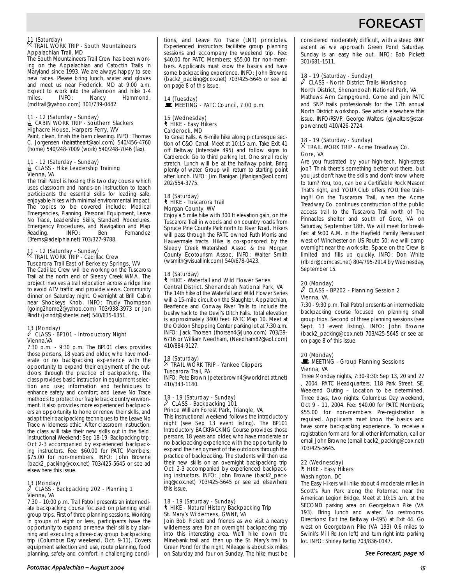# FORECAS

### 11 (Saturday) . TRAIL WORK TRIP - South Mountaineers Appalachian Trail, MD

The South Mountaineers Trail Crew has been working on the Appalachian and Catoctin Trails in Maryland since 1993. We are always happy to see new faces. Please bring lunch, water and gloves and meet us near Frederick, MD at 9:00 a.m. Expect to work into the afternoon and hike 1-4<br>miles. INFO: Nancy Hammond, miles. INFO: Nancy Hammond, (mdtrail@yahoo.com) 301/739-0442.

# 11 - 12 (Saturday - Sunday) <sup>i</sup>CABIN WORK TRIP - Southern Slackers Highacre House, Harpers Ferry, WV

Paint, clean, finish the barn cleaning. INFO: Thomas C. Jorgensen (hairatheart@aol.com) 540/456-4760 (home) 540/248-7009 (work) 540/248-7046 (fax).

# 11 - 12 (Saturday - Sunday) <sup>i</sup>CLASS - Hike Leadership Training Vienna, VA

The Trail Patrol is hosting this two day course which uses classroom and hands-on instruction to teach participants the essential skills for leading safe, enjoyable hikes with minimal environmental impact. The topics to be covered include: Medical Emergencies, Planning, Personal Equipment, Leave No Trace, Leadership Skills, Standard Procedures, Emergency Procedures, and Navigation and Map Reading. INFO: Ben Fernandez (3ferns@adelphia.net) 703/327-9788.

# 11 - 12 (Saturday - Sunday) . TRAIL WORK TRIP - Cadillac Crew Tuscarora Trail East of Berkeley Springs, WV

The Cadillac Crew will be working on the Tuscarora Trail at the north end of Sleepy Creek WMA. The project involves a trail relocation across a ridge line to avoid ATV traffic and provide views. Community dinner on Saturday night. Overnight at Brill Cabin near Shockeys Knob. INFO: Trudy Thompson (going2home2@yahoo.com) 703/938-3973 or Jon Rindt (jkrindt@shentel.net) 540/635-6351.

# 13 (Monday) a CLASS - BP101 - Introductory Night Vienna,VA

7:30 p.m. - 9:30 p.m. The BP101 class provides those persons, 18 years and older, who have moderate or no backpacking experience with the opportunity to expand their enjoyment of the outdoors through the practice of backpacking. The class provides basic instruction in equipment selection and use; information and techniques to enhance safety and comfort; and Leave No Trace methods to protect our fragile backcountry environment. It also provides more experienced backpackers an opportunity to hone or renew their skills, and adapt their backpacking techniques to the Leave No Trace wilderness ethic. After classroom instruction, the class will take their new skills out in the field. Instructional Weekend: Sep 18-19. Backpacking trip: Oct 2-3 accompanied by experienced backpacking instructors. Fee: \$60.00 for PATC Members; \$75.00 for non-members. INFO: John Browne (back2\_packing@cox.net) 703/425-5645 or see ad elsewhere this issue.

### 13 (Monday) a CLASS - Backpacking 202 - Planning 1 Vienna, VA

7:30 - 10:00 p.m. Trail Patrol presents an intermediate backpacking course focused on planning small group trips. First of three planning sessions. Working in groups of eight or less, participants have the opportunity to expand or renew their skills by planning and executing a three-day group backpacking trip (Columbus Day weekend, Oct. 9-11). Covers equipment selection and use, route planning, food planning, safety and comfort in challenging conditions, and Leave No Trace (LNT) principles. Experienced instructors facilitate group planning sessions and accompany the weekend trip. Fee: \$40.00 for PATC Members; \$55.00 for non-members. Applicants must know the basics and have some backpacking experience. INFO: John Browne (back2\_packing@cox.net) 703/425-5645 or see ad on page 8 of this issue.

# MEETING - PATC Council, 7:00 p.m. 15 (Wednesday) ` HIKE - Easy Hikers Carderock, MD

14 (Tuesday)

To Great Falls. A 6-mile hike along picturesque section of C&O Canal. Meet at 10:15 a.m. Take Exit 41 off Beltway (Interstate 495) and follow signs to Carderock. Go to third parking lot. One small rocky stretch. Lunch will be at the halfway point. Bring plenty of water. Group will return to starting point after lunch. INFO: Jim Flanigan (jflanigan@aol.com) 202/554-3775.

#### 18 (Saturday) ` HIKE - Tuscarora Trail Morgan County, WV

Enjoy a 5 mile hike with 300 ft elevation gain, on the Tuscarora Trail in woods and on country roads from Spruce Pine County Park north to River Road. Hikers will pass through the PATC owned Ruth Morris and Hauvermale tracts. Hike is co-sponsored by the Sleepy Creek Watershed Assoc & the Morgan County Ecotourism Assoc. INFO: Walter Smith (wsmith@visuallink.com) 540/678-0423.

#### 18 (Saturday)

#### ` HIKE - Waterfall and Wild Flower Series Central District, Shenandoah National Park, VA

The 14th hike of the Waterfall and Wild Flower Series will a 15-mile circuit on the Slaughter, Appalachian, Bearfence and Conway River Trails to include the bushwhack to the Devil's Ditch Falls. Total elevation is approximately 3400 feet. PATC Map 10. Meet at the Oakton Shopping Center parking lot at 7:30 a.m. INFO: Jack Thorsen (thorsen4@Juno.com) 703/39- 6716 or William Needham, (Needham82@aol.com) 410/884-9127.

#### 18 (Saturday)<br>X That . TRAIL WORK TRIP - Yankee Clippers Tuscarora Trail, PA

INFO: Pete Brown (peter.brown4@worldnet.att.net) 410/343-1140.

#### 18 - 19 (Saturday - Sunday) CLASS - Backpacking 101 Prince William Forest Park, Triangle, VA

This instructional weekend follows the introductory night (see Sep 13 event listing). The BP101 Introductory BACKPACKING Course provides those persons, 18 years and older, who have moderate or no backpacking experience with the opportunity to expand their enjoyment of the outdoors through the practice of backpacking. The students will then use their new skills on an overnight backpacking trip Oct. 2-3 accompanied by experienced backpacking instructors. INFO: John Browne (back2\_packing@cox.net) 703/425-5645 or see ad elsewhere this issue.

#### 18 - 19 (Saturday - Sunday) ` HIKE - Natural History Backpacking Trip St. Mary's Wilderness, GWNF, VA

Join Bob Pickett and friends as we visit a nearby wilderness area for an overnight backpacking trip into this interesting area. We'll hike down the Minebank trail and then up the St. Mary's trail to Green Pond for the night. Mileage is about six miles on Saturday and four on Sunday. The hike must be considered moderately difficult, with a steep 800' ascent as we approach Green Pond Saturday. Sunday is an easy hike out. INFO: Bob Pickett 301/681-1511.

#### 18 - 19 (Saturday - Sunday)  $\ell$  CLASS - North District Trails Workshop North District, Shenandoah National Park, VA

Mathews Arm Campground. Come and join PATC and SNP trails professionals for the 17th annual North District workshop. See article elsewhere this issue. INFO/RSVP: George Walters (gjwalters@starpower.net) 410/426-2724.

#### 18 - 19 (Saturday - Sunday)  $\overline{X}$  TRAIL WORK TRIP - Acme Treadway Co. Gore, VA

Are you frustrated by your high-tech, high-stress job? Think there's something better out there, but you just don't have the skills and don't know where to turn? You, too, can be a Certifiable Rock Mason! That's right, and YOUR Club offers YOU free training!!! On the Tuscarora Trail, when the Acme Treadway Co. continues construction of the public access trail to the Tuscarora Trail north of The Pinnacles shelter and south of Gore, VA on Saturday, September 18th. We will meet for breakfast at 9:00 A.M. in the Hayfield Family Restaurant west of Winchester on US Route 50; we will camp overnight near the work site. Space on the Crew is limited and fills up quickly. INFO: Don White (rlbldr@comcast.net) 804/795-2914 by Wednesday, September 15.

#### 20 (Monday)

#### $\ell$  CLASS - BP202 - Planning Session 2 Vienna, VA

7:30 - 9:30 p.m. Trail Patrol presents an intermediate backpacking course focused on planning small group trips. Second of three planning sessions (see Sept. 13 event listing). INFO: John Browne (back2\_packing@cox.net) 703/425-5645 or see ad on page 8 of this issue.

#### 20 (Monday)

#### $\blacksquare$  MEETING - Group Planning Sessions Vienna, VA

Three Monday nights, 7:30-9:30: Sep 13, 20 and 27 , 2004. PATC Headquarters, 118 Park Street, SE. Weekend Outing – Location to be determined. Three days, two nights: Columbus Day weekend, Oct 9 - 11, 2004. Fee: \$40.00 for PATC Members; \$55.00 for non-members Pre-registration is required. Applicants must know the basics and have some backpacking experience. To receive a registration form and for all other information, call or email John Browne (email back2\_packing@cox.net) 703/425-5645.

#### 22 (Wednesday) ` HIKE - Easy Hikers Washington, DC

The Easy Hikers will hike about 4 moderate miles in Scott's Run Park along the Potomac near the American Legion Bridge. Meet at 10:15 a.m. at the SECOND parking area on Georgetown Pike (VA 193). Bring lunch and water. No restrooms. Directions: Exit the Beltway (I-495) at Exit 44. Go west on Georgetown Pike (VA 193) 0.6 miles to Swink's Mill Rd.(on left) and turn right into parking lot. INFO: Shirley Rettig 703/836-0147.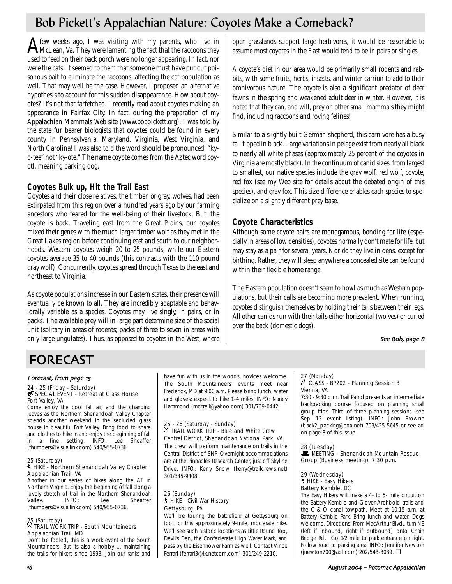# Bob Pickett's Appalachian Nature: Coyotes Make a Comeback?

 ${\bf A}$ few weeks ago, I was visiting with my parents, who live in  ${\bf A}$ McLean, Va. They were lamenting the fact that the raccoons they used to feed on their back porch were no longer appearing. In fact, nor were the cats. It seemed to them that someone must have put out poisonous bait to eliminate the raccoons, affecting the cat population as well. That may well be the case. However, I proposed an alternative hypothesis to account for this sudden disappearance. How about coyotes? It's not that farfetched. I recently read about coyotes making an appearance in Fairfax City. In fact, during the preparation of my Appalachian Mammals Web site (www.bobpickett.org), I was told by the state fur bearer biologists that coyotes could be found in every county in Pennsylvania, Maryland, Virginia, West Virginia, and North Carolina! I was also told the word should be pronounced, "kyo-tee" not "ky-ote." The name coyote comes from the Aztec word coyotl, meaning barking dog.

# **Coyotes Bulk up, Hit the Trail East**

Coyotes and their close relatives, the timber, or gray, wolves, had been extirpated from this region over a hundred years ago by our farming ancestors who feared for the well-being of their livestock. But, the coyote is back. Traveling east from the Great Plains, our coyotes mixed their genes with the much larger timber wolf as they met in the Great Lakes region before continuing east and south to our neighborhoods. Western coyotes weigh 20 to 25 pounds, while our Eastern coyotes average 35 to 40 pounds (this contrasts with the 110-pound gray wolf). Concurrently, coyotes spread through Texas to the east and northeast to Virginia.

As coyote populations increase in our Eastern states, their presence will eventually be known to all. They are incredibly adaptable and behaviorally variable as a species. Coyotes may live singly, in pairs, or in packs. The available prey will in large part determine size of the social unit (solitary in areas of rodents; packs of three to seven in areas with only large ungulates). Thus, as opposed to coyotes in the West, where open-grasslands support large herbivores, it would be reasonable to assume most coyotes in the East would tend to be in pairs or singles.

A coyote's diet in our area would be primarily small rodents and rabbits, with some fruits, herbs, insects, and winter carrion to add to their omnivorous nature. The coyote is also a significant predator of deer fawns in the spring and weakened adult deer in winter. However, it is noted that they can, and will, prey on other small mammals they might find, including raccoons and roving felines!

Similar to a slightly built German shepherd, this carnivore has a busy tail tipped in black. Large variations in pelage exist from nearly all black to nearly all white phases (approximately 25 percent of the coyotes in Virginia are mostly black). In the continuum of canid sizes, from largest to smallest, our native species include the gray wolf, red wolf, coyote, red fox (see my Web site for details about the debated origin of this species), and gray fox. This size difference enables each species to specialize on a slightly different prey base.

# **Coyote Characteristics**

Although some coyote pairs are monogamous, bonding for life (especially in areas of low densities), coyotes normally don't mate for life, but may stay as a pair for several years. Nor do they live in dens, except for birthing. Rather, they will sleep anywhere a concealed site can be found within their flexible home range.

The Eastern population doesn't seem to howl as much as Western populations, but their calls are becoming more prevalent. When running, coyotes distinguish themselves by holding their tails between their legs. All other canids run with their tails either horizontal (wolves) or curled over the back (domestic dogs).

#### See Bob, page 8

# FORECAST

### Forecast, from page 15

# 24 - 25 (Friday - Saturday)<br>*<del>寻</del> SPECIAL EVENT - Retreat at Glass House* Fort Valley, VA

Come enjoy the cool fall air, and the changing leaves as the Northern Shenandoah Valley Chapter spends another weekend in the secluded glass house in beautiful Fort Valley. Bring food to share and clothes to hike in and enjoy the beginning of fall in a fine setting. INFO: Lee Sheaffer (thumpers@visuallink.com) 540/955-0736.

#### 25 (Saturday) ` HIKE - Northern Shenandoah Valley Chapter Appalachian Trail, VA

Another in our series of hikes along the AT in Northern Virginia. Enjoy the beginning of fall along a lovely stretch of trail in the Northern Shenandoah Valley. INFO: Lee Sheaffer (thumpers@visuallink.com) 540/955-0736.

# 25 (Saturday) . TRAIL WORK TRIP - South Mountaineers Appalachian Trail, MD

Don't be fooled, this is a work event of the South Mountaineers. But its also a hobby ... maintaining the trails for hikers since 1993. Join our ranks and have fun with us in the woods, novices welcome. The South Mountaineers' events meet near Frederick, MD at 9:00 a.m. Please bring lunch, water and gloves; expect to hike 1-4 miles. INFO: Nancy Hammond (mdtrail@yahoo.com) 301/739-0442.

#### 25 - 26 (Saturday - Sunday)  $\%$  TRAIL WORK TRIP - Blue and White Crew

Central District, Shenandoah National Park, VA The crew will perform maintenance on trails in the Central District of SNP. Overnight accommodations are at the Pinnacles Research Center, just off Skyline Drive. INFO: Kerry Snow (kerry@trailcrews.net) 301/345-9408.

#### 26 (Sunday) ` HIKE - Civil War History Gettysburg, PA

We'll be touring the battlefield at Gettysburg on foot for this approximately 9-mile, moderate hike. We'll see such historic locations as Little Round Top, Devil's Den, the Confederate High Water Mark, and pass by the Eisenhower Farm as well. Contact Vince Ferrari (ferrari3@ix.netcom.com) 301/249-2210.

# 27 (Monday)

#### $\ell$  CLASS - BP202 - Planning Session 3 Vienna, VA

7:30 - 9:30 p.m. Trail Patrol presents an intermediate backpacking course focused on planning small group trips. Third of three planning sessions (see Sep 13 event listing). INFO: John Browne (back2\_packing@cox.net) 703/425-5645 or see ad on page 8 of this issue.

#### 28 (Tuesday) **WEETING - Shenandoah Mountain Rescue** Group (Business meeting), 7:30 p.m.

#### 29 (Wednesday) ` HIKE - Easy Hikers

### Battery Kemble, DC

The Easy Hikers will make a 4- to 5- mile circuit on the Battery Kemble and Glover Archbold trails and the C & O canal towpath. Meet at 10:15 a.m. at Battery Kemble Park. Bring lunch and water. Dogs welcome. Directions: From MacArthur Blvd., turn NE (left if inbound, right if outbound) onto Chain Bridge Rd. Go 1⁄2 mile to park entrance on right. Follow road to parking area. INFO: Jennifer Newton (jnewton700@aol.com) 202/543-3039. ❏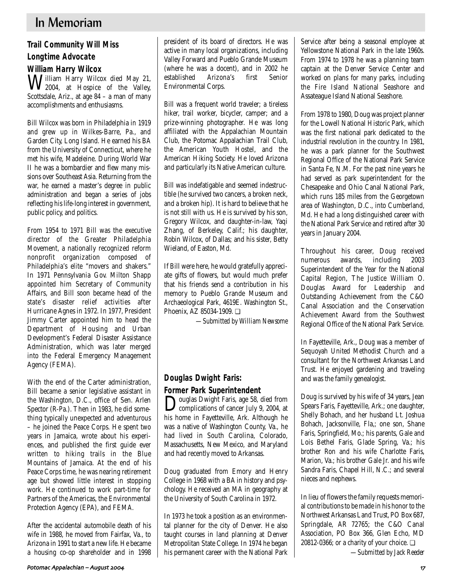# **Trail Community Will Miss**

# **Longtime Advocate**

# **William Harry Wilcox**

William Harry Wilcox died May 21, 2004, at Hospice of the Valley, Scottsdale, Ariz., at age 84 – a man of many accomplishments and enthusiasms.

Bill Wilcox was born in Philadelphia in 1919 and grew up in Wilkes-Barre, Pa., and Garden City, Long Island. He earned his BA from the University of Connecticut, where he met his wife, Madeleine. During World War II he was a bombardier and flew many missions over Southeast Asia. Returning from the war, he earned a master's degree in public administration and began a series of jobs reflecting his life-long interest in government, public policy, and politics.

From 1954 to 1971 Bill was the executive director of the Greater Philadelphia Movement, a nationally recognized reform nonprofit organization composed of Philadelphia's elite "movers and shakers." In 1971 Pennsylvania Gov. Milton Shapp appointed him Secretary of Community Affairs, and Bill soon became head of the state's disaster relief activities after Hurricane Agnes in 1972. In 1977, President Jimmy Carter appointed him to head the Department of Housing and Urban Development's Federal Disaster Assistance Administration, which was later merged into the Federal Emergency Management Agency (FEMA).

With the end of the Carter administration, Bill became a senior legislative assistant in the Washington, D.C., office of Sen. Arlen Spector (R-Pa.). Then in 1983, he did something typically unexpected and adventurous – he joined the Peace Corps. He spent two years in Jamaica, wrote about his experiences, and published the first guide ever written to hiking trails in the Blue Mountains of Jamaica. At the end of his Peace Corps time, he was nearing retirement age but showed little interest in stopping work. He continued to work part-time for Partners of the Americas, the Environmental Protection Agency (EPA), and FEMA.

After the accidental automobile death of his wife in 1988, he moved from Fairfax, Va., to Arizona in 1991 to start a new life. He became a housing co-op shareholder and in 1998 president of its board of directors. He was active in many local organizations, including Valley Forward and Pueblo Grande Museum (where he was a docent), and in 2002 he<br>established Arizona's first Senior established Arizona's first Senior Environmental Corps.

Bill was a frequent world traveler; a tireless hiker, trail worker, bicycler, camper; and a prize-winning photographer. He was long affiliated with the Appalachian Mountain Club, the Potomac Appalachian Trail Club, the American Youth Hostel, and the American Hiking Society. He loved Arizona and particularly its Native American culture.

Bill was indefatigable and seemed indestructible (he survived two cancers, a broken neck, and a broken hip). It is hard to believe that he is not still with us. He is survived by his son, Gregory Wilcox, and daughter-in-law, Yaqi Zhang, of Berkeley, Calif.; his daughter, Robin Wilcox, of Dallas; and his sister, Betty Wieland, of Easton, Md.

If Bill were here, he would gratefully appreciate gifts of flowers, but would much prefer that his friends send a contribution in his memory to Pueblo Grande Museum and Archaeological Park, 4619E. Washington St., Phoenix, AZ 85034-1909. ❏

*—Submitted by William Newsome*

# **Douglas Dwight Faris: Former Park Superintendent**

Douglas Dwight Faris, age 58, died from<br>complications of cancer July 9, 2004, at his home in Fayetteville, Ark. Although he was a native of Washington County, Va., he had lived in South Carolina, Colorado, Massachusetts, New Mexico, and Maryland and had recently moved to Arkansas.

Doug graduated from Emory and Henry College in 1968 with a BA in history and psychology. He received an MA in geography at the University of South Carolina in 1972.

In 1973 he took a position as an environmental planner for the city of Denver. He also taught courses in land planning at Denver Metropolitan State College. In 1974 he began his permanent career with the National Park Service after being a seasonal employee at Yellowstone National Park in the late 1960s. From 1974 to 1978 he was a planning team captain at the Denver Service Center and worked on plans for many parks, including the Fire Island National Seashore and Assateague Island National Seashore.

From 1978 to 1980, Doug was project planner for the Lowell National Historic Park, which was the first national park dedicated to the industrial revolution in the country. In 1981, he was a park planner for the Southwest Regional Office of the National Park Service in Santa Fe, N.M. For the past nine years he had served as park superintendent for the Chesapeake and Ohio Canal National Park, which runs 185 miles from the Georgetown area of Washington, D.C., into Cumberland, Md. He had a long distinguished career with the National Park Service and retired after 30 years in January 2004.

Throughout his career, Doug received numerous awards, including 2003 Superintendent of the Year for the National Capital Region, The Justice William O. Douglas Award for Leadership and Outstanding Achievement from the C&O Canal Association and the Conservation Achievement Award from the Southwest Regional Office of the National Park Service.

In Fayetteville, Ark., Doug was a member of Sequoyah United Methodist Church and a consultant for the Northwest Arkansas Land Trust. He enjoyed gardening and traveling and was the family genealogist.

Doug is survived by his wife of 34 years, Jean Spears Faris, Fayetteville, Ark.; one daughter, Shelly Bohach, and her husband Lt. Joshua Bohach, Jacksonville, Fla,; one son, Shane Faris, Springfield, Mo.; his parents, Gale and Lois Bethel Faris, Glade Spring, Va.; his brother Ron and his wife Charlotte Faris, Marion, Va.; his brother Gale Jr. and his wife Sandra Faris, Chapel Hill, N.C.; and several nieces and nephews.

In lieu of flowers the family requests memorial contributions to be made in his honor to the Northwest Arkansas Land Trust, PO Box 687, Springdale, AR 72765; the C&O Canal Association, PO Box 366, Glen Echo, MD 20812-0366; or a charity of your choice.  $\Box$ 

*—Submitted by Jack Reeder*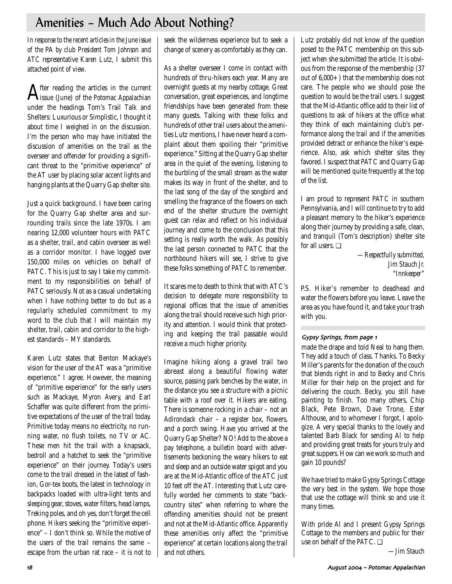# Amenities – Much Ado About Nothing?

*In response to the recent articles in the June issue of the* PA *by club President Tom Johnson and ATC representative Karen Lutz, I submit this attached point of view.* 

After reading the articles in the current issue (June) of the *Potomac Appalachian* under the headings Tom's Trail Talk and Shelters: Luxurious or Simplistic, I thought it about time I weighed in on the discussion. I'm the person who may have initiated the discussion of amenities on the trail as the overseer and offender for providing a significant threat to the "primitive experience" of the AT user by placing solar accent lights and hanging plants at the Quarry Gap shelter site.

Just a quick background. I have been caring for the Quarry Gap shelter area and surrounding trails since the late 1970s. I am nearing 12,000 volunteer hours with PATC as a shelter, trail, and cabin overseer as well as a corridor monitor. I have logged over 150,000 miles on vehicles on behalf of PATC. This is just to say I take my commitment to my responsibilities on behalf of PATC seriously. Not as a casual undertaking when I have nothing better to do but as a regularly scheduled commitment to my word to the club that I will maintain my shelter, trail, cabin and corridor to the highest standards – MY standards.

Karen Lutz states that Benton Mackaye's vision for the user of the AT was a "primitive experience." I agree. However, the meaning of "primitive experience" for the early users such as Mackaye, Myron Avery, and Earl Schaffer was quite different from the primitive expectations of the user of the trail today. Primitive today means no electricity, no running water, no flush toilets, no TV or AC. These men hit the trail with a knapsack, bedroll and a hatchet to seek the "primitive experience" on their journey. Today's users come to the trail dressed in the latest of fashion, Gor-tex boots, the latest in technology in backpacks loaded with ultra-light tents and sleeping gear, stoves, water filters, head lamps, Treking poles, and oh yes, don't forget the cell phone. Hikers seeking the "primitive experience" – I don't think so. While the motive of the users of the trail remains the same – escape from the urban rat race – it is not to seek the wilderness experience but to seek a change of scenery as comfortably as they can.

As a shelter overseer I come in contact with hundreds of thru-hikers each year. Many are overnight guests at my nearby cottage. Great conversation, great experiences, and longtime friendships have been generated from these many guests. Talking with these folks and hundreds of other trail users about the amenities Lutz mentions, I have never heard a complaint about them spoiling their "primitive experience." Sitting at the Quarry Gap shelter area in the quiet of the evening, listening to the burbling of the small stream as the water makes its way in front of the shelter, and to the last song of the day of the songbird and smelling the fragrance of the flowers on each end of the shelter structure the overnight guest can relax and reflect on his individual journey and come to the conclusion that this setting is really worth the walk. As possibly the last person connected to PATC that the northbound hikers will see, I strive to give these folks something of PATC to remember.

It scares me to death to think that with ATC's decision to delegate more responsibility to regional offices that the issue of amenities along the trail should receive such high priority and attention. I would think that protecting and keeping the trail passable would receive a much higher priority.

Imagine hiking along a gravel trail two abreast along a beautiful flowing water source, passing park benches by the water, in the distance you see a structure with a picnic table with a roof over it. Hikers are eating. There is someone rocking in a chair – not an Adirondack chair – a register box, flowers, and a porch swing. Have you arrived at the Quarry Gap Shelter? NO! Add to the above a pay telephone, a bulletin board with advertisements beckoning the weary hikers to eat and sleep and an outside water spigot and you are at the Mid-Atlantic office of the ATC just 10 feet off the AT. Interesting that Lutz carefully worded her comments to state "backcountry sites" when referring to where the offending amenities should not be present and not at the Mid-Atlantic office. Apparently these amenities only affect the "primitive experience" at certain locations along the trail and not others.

Lutz probably did not know of the question posed to the PATC membership on this subject when she submitted the article. It is obvious from the response of the membership (37 out of 6,000+) that the membership does not care. The people who we should pose the question to would be the trail users. I suggest that the Mid-Atlantic office add to their list of questions to ask of hikers at the office what they think of each maintaining club's performance along the trail and if the amenities provided detract or enhance the hiker's experience. Also, ask which shelter sites they favored. I suspect that PATC and Quarry Gap will be mentioned quite frequently at the top of the list.

I am proud to represent PATC in southern Pennsylvania, and I will continue to try to add a pleasant memory to the hiker's experience along their journey by providing a safe, clean, and tranquil (Tom's description) shelter site for all users. ❏

> *—Respectfully submitted, Jim Stauch Jr. "Innkeeper"*

P.S. Hiker's remember to deadhead and water the flowers before you leave. Leave the area as you have found it, and take your trash with you.

#### Gypsy Springs, from page 1

made the drape and told Neal to hang them. They add a touch of class. Thanks. To Becky Miller's parents for the donation of the couch that blends right in and to Becky and Chris Miller for their help on the project and for delivering the couch. Becky, you still have painting to finish. Too many others, Chip Black, Pete Brown, Dave Trone, Ester Althouse, and to whomever I forgot, I apologize. A very special thanks to the lovely and talented Barb Black for sending Al to help and providing great treats for yours truly and great suppers. How can we work so much and gain 10 pounds?

We have tried to make Gypsy Springs Cottage the very best in the system. We hope those that use the cottage will think so and use it many times.

With pride Al and I present Gypsy Springs Cottage to the members and public for their use on behalf of the PATC. ❏

*—Jim Stauch*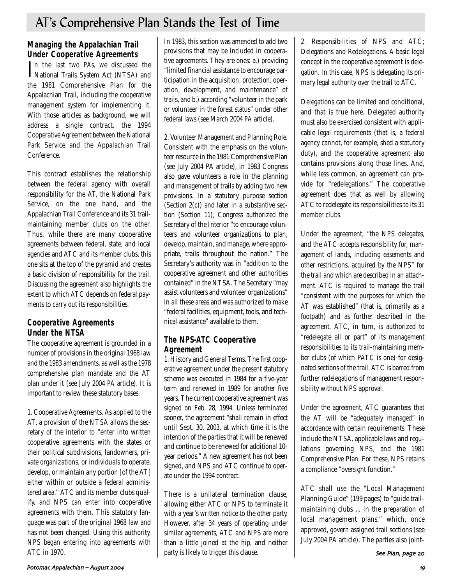# AT's Comprehensive Plan Stands the Test of Time

# **Managing the Appalachian Trail Under Cooperative Agreements**

In the last two *PAs*, we discussed the<br>National Trails System Act (NTSA) and National Trails System Act (NTSA) and the 1981 Comprehensive Plan for the Appalachian Trail, including the cooperative management system for implementing it. With those articles as background, we will address a single contract, the 1994 Cooperative Agreement between the National Park Service and the Appalachian Trail Conference.

This contract establishes the relationship between the federal agency with overall responsibility for the AT, the National Park Service, on the one hand, and the Appalachian Trail Conference and its 31 trailmaintaining member clubs on the other. Thus, while there are many cooperative agreements between federal, state, and local agencies and ATC and its member clubs, this one sits at the top of the pyramid and creates a basic division of responsibility for the trail. Discussing the agreement also highlights the extent to which ATC depends on federal payments to carry out its responsibilities.

# **Cooperative Agreements Under the NTSA**

The cooperative agreement is grounded in a number of provisions in the original 1968 law and the 1983 amendments, as well as the 1978 comprehensive plan mandate and the AT plan under it (see July 2004 *PA* article). It is important to review these statutory bases.

1. Cooperative Agreements. As applied to the AT, a provision of the NTSA allows the secretary of the interior to "enter into written cooperative agreements with the states or their political subdivisions, landowners, private organizations, or individuals to operate, develop, or maintain any portion [of the AT] either within or outside a federal administered area." ATC and its member clubs qualify, and NPS can enter into cooperative agreements with them. This statutory language was part of the original 1968 law and has not been changed. Using this authority, NPS began entering into agreements with ATC in 1970.

In 1983, this section was amended to add two provisions that may be included in cooperative agreements. They are ones: a.) providing "limited financial assistance to encourage participation in the acquisition, protection, operation, development, and maintenance" of trails, and b.) according "volunteer in the park or volunteer in the forest status" under other federal laws (see March 2004 *PA* article).

2. Volunteer Management and Planning Role. Consistent with the emphasis on the volunteer resource in the 1981 Comprehensive Plan (see July 2004 PA article), in 1983 Congress also gave volunteers a role in the planning and management of trails by adding two new provisions. In a statutory purpose section (Section 2(c)) and later in a substantive section (Section 11), Congress authorized the Secretary of the Interior "to encourage volunteers and volunteer organizations to plan, develop, maintain, and manage, where appropriate, trails throughout the nation." The Secretary's authority was in "addition to the cooperative agreement and other authorities contained" in the NTSA. The Secretary "may assist volunteers and volunteer organizations" in all these areas and was authorized to make "federal facilities, equipment, tools, and technical assistance" available to them.

# **The NPS-ATC Cooperative Agreement**

1. History and General Terms. The first cooperative agreement under the present statutory scheme was executed in 1984 for a five-year term and renewed in 1989 for another five years. The current cooperative agreement was signed on Feb. 28, 1994. Unless terminated sooner, the agreement "shall remain in effect until Sept. 30, 2003, at which time it is the intention of the parties that it will be renewed and continue to be renewed for additional 10 year periods." A new agreement has not been signed, and NPS and ATC continue to operate under the 1994 contract.

There is a unilateral termination clause, allowing either ATC or NPS to terminate it with a year's written notice to the other party. However, after 34 years of operating under similar agreements, ATC and NPS are more than a little joined at the hip, and neither party is likely to trigger this clause.

2. Responsibilities of NPS and ATC; Delegations and Redelegations. A basic legal concept in the cooperative agreement is delegation. In this case, NPS is delegating its primary legal authority over the trail to ATC.

Delegations can be limited and conditional, and that is true here. Delegated authority must also be exercised consistent with applicable legal requirements (that is, a federal agency cannot, for example, shed a statutory duty), and the cooperative agreement also contains provisions along those lines. And, while less common, an agreement can provide for "redelegations." The cooperative agreement does that as well by allowing ATC to redelegate its responsibilities to its 31 member clubs.

Under the agreement, "the NPS delegates, and the ATC accepts responsibility for, management of lands, including easements and other restrictions, acquired by the NPS" for the trail and which are described in an attachment. ATC is required to manage the trail "consistent with the purposes for which the AT was established" (that is, primarily as a footpath) and as further described in the agreement. ATC, in turn, is authorized to "redelegate all or part" of its management responsibilities to its trail-maintaining member clubs (of which PATC is one) for designated sections of the trail. ATC is barred from further redelegations of management responsibility without NPS approval.

Under the agreement, ATC guarantees that the AT will be "adequately managed" in accordance with certain requirements. These include the NTSA, applicable laws and regulations governing NPS, and the 1981 Comprehensive Plan. For these, NPS retains a compliance "oversight function."

ATC shall use the "Local Management Planning Guide" (199 pages) to "guide trailmaintaining clubs ... in the preparation of local management plans," which, once approved, govern assigned trail sections (see July 2004 PA article). The parties also joint-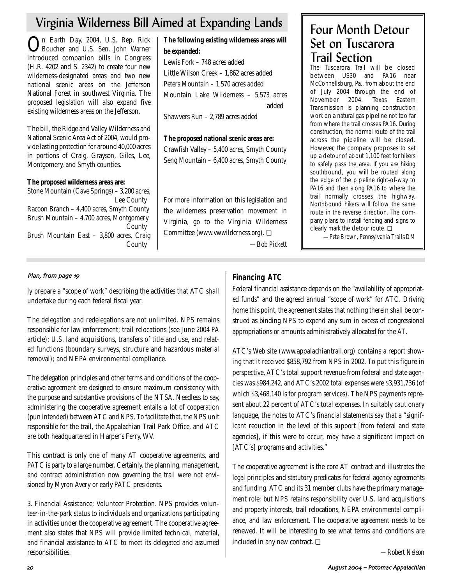# Virginia Wilderness Bill Aimed at Expanding Lands

On Earth Day, 2004, U.S. Rep. Rick Boucher and U.S. Sen. John Warner introduced companion bills in Congress (H.R. 4202 and S. 2342) to create four new wilderness-designated areas and two new national scenic areas on the Jefferson National Forest in southwest Virginia. The proposed legislation will also expand five existing wilderness areas on the Jefferson.

The bill, the Ridge and Valley Wilderness and National Scenic Area Act of 2004, would provide lasting protection for around 40,000 acres in portions of Craig, Grayson, Giles, Lee, Montgomery, and Smyth counties.

**The proposed wilderness areas are:** 

Stone Mountain (Cave Springs) – 3,200 acres, Lee County Racoon Branch – 4,400 acres, Smyth County Brush Mountain – 4,700 acres, Montgomery County Brush Mountain East – 3,800 acres, Craig County

**The following existing wilderness areas will be expanded:**  Lewis Fork – 748 acres added Little Wilson Creek – 1,862 acres added Peters Mountain – 1,570 acres added Mountain Lake Wilderness – 5,573 acres added

Shawvers Run – 2,789 acres added

**The proposed national scenic areas are:**  Crawfish Valley – 5,400 acres, Smyth County Seng Mountain – 6,400 acres, Smyth County

For more information on this legislation and the wilderness preservation movement in Virginia, go to the Virginia Wilderness Committee (www.vwwilderness.org). ❏

*—Bob Pickett*

# Four Month Detour Set on Tuscarora Trail Section

The Tuscarora Trail will be closed between US30 and PA16 near McConnellsburg, Pa., from about the end of July 2004 through the end of November 2004. Texas Eastern Transmission is planning construction work on a natural gas pipeline not too far from where the trail crosses PA16. During construction, the normal route of the trail across the pipeline will be closed. However, the company proposes to set up a detour of about 1,100 feet for hikers to safely pass the area. If you are hiking southbound, you will be routed along the edge of the pipeline right-of-way to PA16 and then along PA16 to where the trail normally crosses the highway. Northbound hikers will follow the same route in the reverse direction. The company plans to install fencing and signs to clearly mark the detour route. ❏

*—Pete Brown, Pennsylvania Trails DM*

# Plan, from page 19

ly prepare a "scope of work" describing the activities that ATC shall undertake during each federal fiscal year.

The delegation and redelegations are not unlimited. NPS remains responsible for law enforcement; trail relocations (see June 2004 *PA* article); U.S. land acquisitions, transfers of title and use, and related functions (boundary surveys, structure and hazardous material removal); and NEPA environmental compliance.

The delegation principles and other terms and conditions of the cooperative agreement are designed to ensure maximum consistency with the purpose and substantive provisions of the NTSA. Needless to say, administering the cooperative agreement entails a lot of cooperation (pun intended) between ATC and NPS. To facilitate that, the NPS unit responsible for the trail, the Appalachian Trail Park Office, and ATC are both headquartered in Harper's Ferry, WV.

This contract is only one of many AT cooperative agreements, and PATC is party to a large number. Certainly, the planning, management, and contract administration now governing the trail were not envisioned by Myron Avery or early PATC presidents.

3. Financial Assistance; Volunteer Protection. NPS provides volunteer-in-the-park status to individuals and organizations participating in activities under the cooperative agreement. The cooperative agreement also states that NPS will provide limited technical, material, and financial assistance to ATC to meet its delegated and assumed responsibilities.

# **Financing ATC**

Federal financial assistance depends on the "availability of appropriated funds" and the agreed annual "scope of work" for ATC. Driving home this point, the agreement states that nothing therein shall be construed as binding NPS to expend any sum in excess of congressional appropriations or amounts administratively allocated for the AT.

ATC's Web site (www.appalachiantrail.org) contains a report showing that it received \$858,792 from NPS in 2002. To put this figure in perspective, ATC's total support revenue from federal and state agencies was \$984,242, and ATC's 2002 total expenses were \$3,931,736 (of which \$3,468,140 is for program services). The NPS payments represent about 22 percent of ATC's total expenses. In suitably cautionary language, the notes to ATC's financial statements say that a "significant reduction in the level of this support [from federal and state agencies], if this were to occur, may have a significant impact on [ATC's] programs and activities."

The cooperative agreement is the core AT contract and illustrates the legal principles and statutory predicates for federal agency agreements and funding. ATC and its 31 member clubs have the primary management role; but NPS retains responsibility over U.S. land acquisitions and property interests, trail relocations, NEPA environmental compliance, and law enforcement. The cooperative agreement needs to be renewed. It will be interesting to see what terms and conditions are included in any new contract.  $\Box$ 

*—Robert Nelson*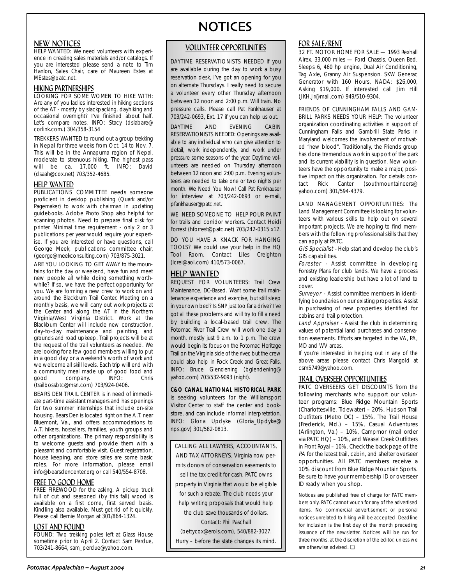### NEW NOTICES

HELP WANTED: We need volunteers with experience in creating sales materials and/or catalogs. If you are interested please send a note to Tim Hanlon, Sales Chair, care of Maureen Estes at MEstes@patc.net.

## HIKING PARTNERSHIPS LOOKING FOR SOME WOMEN TO HIKE WITH:

Are any of you ladies interested in hiking sections of the AT - mostly by slackpacking, dayhiking and occasional overnight? I've finished about half. Let's compare notes. INFO: Stacy (dslabare@ corlink.com.) 304/358-3154

TREKKERS WANTED to round out a group trekking in Nepal for three weeks from Oct. 14 to Nov. 7. This will be in the Annapurna region of Nepal, moderate to strenuous hiking. The highest pass will be ca. 17,000 ft. INFO: David (dsaah@cox.net) 703/352-4685.

### HELP WANTED

PUBLICATIONS COMMITTEE needs someone proficient in desktop publishing (Quark and/or Pagemaker) to work with chairman in updating guidebooks. Adobe Photo Shop also helpful for scanning photos. Need to prepare final disk for printer. Minimal time requirement - only 2 or 3 publications per year would require your expertise. If you are interested or have questions, call George Meek, publications committee chair, (george@meekconsulting.com) 703/875-3021.

ARE YOU LOOKING TO GET AWAY to the mountains for the day or weekend, have fun and meet new people all while doing something worthwhile? If so, we have the perfect opportunity for you. We are forming a new crew to work on and around the Blackburn Trail Center. Meeting on a monthly basis, we will carry out work projects at the Center and along the AT in the Northern Virginia/West Virginia District. Work at the Blackburn Center will include new construction, day-to-day maintenance and painting, and grounds and road upkeep. Trail projects will be at the request of the trail volunteers as needed. We are looking for a few good members willing to put in a good day or a weekend's worth of work and we welcome all skill levels. Each trip will end with a community meal made up of good food and<br>good company. INFO: Chris company. INFO: Chris (trailbossbtc@msn.com) 703/924-0406.

BEARS DEN TRAIL CENTER is in need of immediate part-time assistant managers and has openings for two summer internships that include on-site housing. Bears Den is located right on the A.T. near Bluemont, Va., and offers accommodations to A.T. hikers, hostellers, families, youth groups and other organizations. The primary responsibility is to welcome guests and provide them with a pleasant and comfortable visit. Guest registration, house keeping, and store sales are some basic roles. For more information, please email info@bearsdencenter.org or call 540/554-8708.

### FREE TO GOOD HOME

FREE FIREWOOD for the asking. A pickup truck full of cut and seasoned (by this fall) wood is available on a first come, first served basis. Kindling also available. Must get rid of it quickly. Please call Bernie Morgan at 301/864-1324.

### LOST AND FOUND

FOUND: Two trekking poles left at Glass House sometime prior to April 2. Contact Sam Perdue, 703/241-8664, sam\_perdue@yahoo.com.

# NOTICES

### VOLUNTEER OPPORTUNITIES

DAYTIME RESERVATIONISTS NEEDED If you are available during the day to work a busy reservation desk, I've got an opening for you on alternate Thursdays. I really need to secure a volunteer every other Thursday afternoon between 12 noon and 2:00 p.m. Will train. No pressure calls. Please call Pat Fankhauser at 703/242-0693, Ext. 17 if you can help us out.

DAYTIME AND EVENING CABIN RESERVATIONISTS NEEDED: Openings are available to any individual who can give attention to detail, work independently, and work under pressure some seasons of the year. Daytime volunteers are needed on Thursday afternoon between 12 noon and 2:00 p.m. Evening volunteers are needed to take one or two nights per month. We Need You Now! Call Pat Fankhauser for interview at 703/242-0693 or e-mail, pfankhauser@patc.net.

WE NEED SOMEONE TO HELP POUR PAINT for trails and corridor workers. Contact Heidi Forrest (hforrest@patc.net) 703/242-0315 x12.

DO YOU HAVE A KNACK FOR HANGING TOOLS? We could use your help in the HQ Tool Room. Contact Liles Creighton (lcrei@aol.com) 410/573-0067.

### HELP WANTED

REQUEST FOR VOLUNTEERS: Trail Crew Maintenance, DC-Based. Want some trail maintenance experience and exercise, but still sleep in your own bed? Is SNP just too far a drive? I've got all these problems and will try to fill a need by building a local-based trail crew. The Potomac River Trail Crew will work one day a month, mostly just 9 a.m. to 1 p.m. The crew would begin its focus on the Potomac Heritage Trail on the Virginia side of the river, but the crew could also help in Rock Creek and Great Falls. INFO: Bruce Glendening (bglendening@ yahoo.com) 703/532-9093 (night).

#### **C&O CANAL NATIONAL HISTORICAL PARK** is seeking volunteers for the Williamsport Visitor Center to staff the center and bookstore, and can include informal interpretation.

INFO: Gloria Updyke (Gloria\_Updyke@ nps.gov) 301/582-0813.

CALLING ALL LAWYERS, ACCOUNTANTS, AND TAX ATTORNEYS. Virginia now permits donors of conservation easements to sell the tax credit for cash. PATC owns property in Virginia that would be eligible for such a rebate. The club needs your help writing proposals that would help the club save thousands of dollars. Contact: Phil Paschall (bettycox@erols.com), 540/882-3027. Hurry – before the state changes its mind.

# FOR SALE/RENT

32 FT. MOTOR HOME FOR SALE - 1993 Rexhall Airex, 33,000 miles — Ford Chassis. Queen Bed, Sleeps 6, 460 hp engine, Dual Air Conditioning, Tag Axle, Granny Air Suspension. SKW Generac Generator with 160 Hours, NADA: \$26,000, Asking \$19,000. If interested call Jim Hill (JKH.Jr@mail.com) 949/510-9304.

FRIENDS OF CUNNINGHAM FALLS AND GAM-BRILL PARKS NEEDS YOUR HELP: The volunteer organization coordinating activities in support of Cunningham Falls and Gambrill State Parks in Maryland welcomes the involvement of motivated "new blood". Traditionally, the Friends group has done tremendous work in support of the park and its current viability is in question. New volunteers have the opportunity to make a major, positive impact on this organization. For details con-<br>tact Rick Canter (southmountaineers@ tact Rick Canter (southmountaineers@ yahoo.com) 301/594-4379.

LAND MANAGEMENT OPPORTUNITIES: The Land Management Committee is looking for volunteers with various skills to help out on several important projects. We are hoping to find members with the following professional skills that they can apply at PATC.

GIS Specialist - Help start and develop the club's GIS capabilities.

Forester - Assist committee in developing Forestry Plans for club lands. We have a process and existing leadership but have a lot of land to cover.

Surveyor - Assist committee members in identifying boundaries on our existing properties. Assist in purchasing of new properties identified for cabins and trail protection.

Land Appraiser - Assist the club in determining values of potential land purchases and conservation easements. Efforts are targeted in the VA, PA, MD and WV areas.

If you're interested in helping out in any of the above areas please contact Chris Mangold at csm5749@yahoo.com.

# TRAIL OVERSEER OPPORTUNITIES

PATC OVERSEERS GET DISCOUNTS from the following merchants who support our volunteer programs: Blue Ridge Mountain Sports (Charlottesville, Tidewater) – 20%, Hudson Trail Outfitters (Metro DC) – 15%, The Trail House (Frederick, Md.) – 15%, Casual Adventures (Arlington, Va.) – 10%, Campmor (mail order via PATC HQ) – 10%, and Weasel Creek Outfitters in Front Royal – 10%. Check the back page of the PA for the latest trail, cabin, and shelter overseer opportunities. All PATC members receive a 10% discount from Blue Ridge Mountain Sports. Be sure to have your membership ID or overseer ID ready when you shop.

Notices are published free of charge for PATC members only. PATC cannot vouch for any of the advertised items. No commercial advertisement or personal notices unrelated to hiking will be accepted. Deadline for inclusion is the first day of the month preceding issuance of the newsletter. Notices will be run for three months, at the discretion of the editor, unless we are otherwise advised. ❏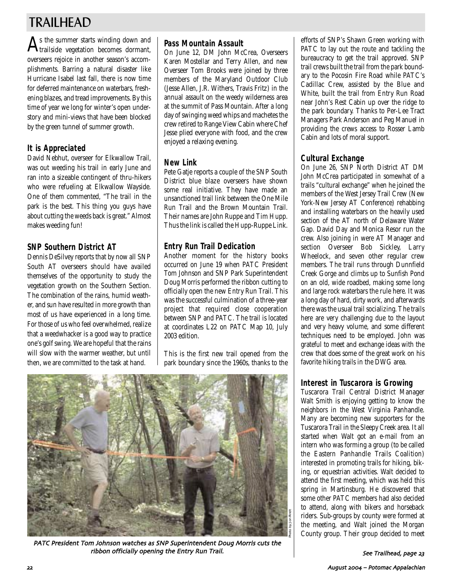# TRAILHEAD

 $\mathbf{A}^\text{s}$  the summer starts winding down and  $\mathbf{A}_\text{trailside}$  vegetation becomes dormant, overseers rejoice in another season's accomplishments. Barring a natural disaster like Hurricane Isabel last fall, there is now time for deferred maintenance on waterbars, freshening blazes, and tread improvements. By this time of year we long for winter's open understory and mini-views that have been blocked by the green tunnel of summer growth.

# **It is Appreciated**

David Nebhut, overseer for Elkwallow Trail, was out weeding his trail in early June and ran into a sizeable contingent of thru-hikers who were refueling at Elkwallow Wayside. One of them commented, "The trail in the park is the best. This thing you guys have about cutting the weeds back is great." Almost makes weeding fun!

# **SNP Southern District AT**

Dennis DeSilvey reports that by now all SNP South AT overseers should have availed themselves of the opportunity to study the vegetation growth on the Southern Section. The combination of the rains, humid weather, and sun have resulted in more growth than most of us have experienced in a long time. For those of us who feel overwhelmed, realize that a weedwhacker is a good way to practice one's golf swing. We are hopeful that the rains will slow with the warmer weather, but until then, we are committed to the task at hand.

# **Pass Mountain Assault**

On June 12, DM John McCrea, Overseers Karen Mostellar and Terry Allen, and new Overseer Tom Brooks were joined by three members of the Maryland Outdoor Club (Jesse Allen, J.R. Withers, Travis Fritz) in the annual assault on the weedy wilderness area at the summit of Pass Mountain. After a long day of swinging weed whips and machetes the crew retired to Range View Cabin where Chef Jesse plied everyone with food, and the crew enjoyed a relaxing evening.

# **New Link**

Pete Gatje reports a couple of the SNP South District blue blaze overseers have shown some real initiative. They have made an unsanctioned trail link between the One Mile Run Trail and the Brown Mountain Trail. Their names are John Ruppe and Tim Hupp. Thus the link is called the Hupp-Ruppe Link.

# **Entry Run Trail Dedication**

Another moment for the history books occurred on June 19 when PATC President Tom Johnson and SNP Park Superintendent Doug Morris performed the ribbon cutting to officially open the new Entry Run Trail. This was the successful culmination of a three-year project that required close cooperation between SNP and PATC. The trail is located at coordinates L22 on PATC Map 10, July 2003 edition.

This is the first new trail opened from the park boundary since the 1960s, thanks to the



PATC President Tom Johnson watches as SNP Superintendent Doug Morris cuts the ribbon officially opening the Entry Run Trail

efforts of SNP's Shawn Green working with PATC to lay out the route and tackling the bureaucracy to get the trail approved. SNP trail crews built the trail from the park boundary to the Pocosin Fire Road while PATC's Cadillac Crew, assisted by the Blue and White, built the trail from Entry Run Road near John's Rest Cabin up over the ridge to the park boundary. Thanks to Per-Lee Tract Managers Park Anderson and Peg Manuel in providing the crews access to Rosser Lamb Cabin and lots of moral support.

# **Cultural Exchange**

On June 26, SNP North District AT DM John McCrea participated in somewhat of a trails "cultural exchange" when he joined the members of the West Jersey Trail Crew (New York-New Jersey AT Conference) rehabbing and installing waterbars on the heavily used section of the AT north of Delaware Water Gap. David Day and Monica Resor run the crew. Also joining in were AT Manager and section Overseer Bob Sickley, Larry Wheelock, and seven other regular crew members. The trail runs through Dunnfield Creek Gorge and climbs up to Sunfish Pond on an old, wide roadbed, making some long and large rock waterbars the rule here. It was a long day of hard, dirty work, and afterwards there was the usual trail socializing. The trails here are very challenging due to the layout and very heavy volume, and some different techniques need to be employed. John was grateful to meet and exchange ideas with the crew that does some of the great work on his favorite hiking trails in the DWG area.

# **Interest in Tuscarora is Growing**

Tuscarora Trail Central District Manager Walt Smith is enjoying getting to know the neighbors in the West Virginia Panhandle. Many are becoming new supporters for the Tuscarora Trail in the Sleepy Creek area. It all started when Walt got an e-mail from an intern who was forming a group (to be called the Eastern Panhandle Trails Coalition) interested in promoting trails for hiking, biking, or equestrian activities. Walt decided to attend the first meeting, which was held this spring in Martinsburg. He discovered that some other PATC members had also decided to attend, along with bikers and horseback riders. Sub-groups by county were formed at the meeting, and Walt joined the Morgan County group. Their group decided to meet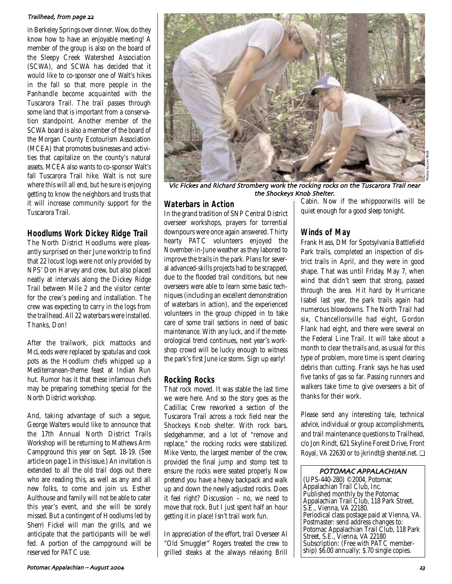#### Trailhead, from page 22

in Berkeley Springs over dinner. Wow, do they know how to have an enjoyable meeting! A member of the group is also on the board of the Sleepy Creek Watershed Association (SCWA), and SCWA has decided that it would like to co-sponsor one of Walt's hikes in the fall so that more people in the Panhandle become acquainted with the Tuscarora Trail. The trail passes through some land that is important from a conservation standpoint. Another member of the SCWA board is also a member of the board of the Morgan County Ecotourism Association (MCEA) that promotes businesses and activities that capitalize on the county's natural assets. MCEA also wants to co-sponsor Walt's fall Tuscarora Trail hike. Walt is not sure where this will all end, but he sure is enjoying getting to know the neighbors and trusts that it will increase community support for the Tuscarora Trail.

# **Hoodlums Work Dickey Ridge Trail**

The North District Hoodlums were pleasantly surprised on their June worktrip to find that 22 locust logs were not only provided by NPS' Don Harvey and crew, but also placed neatly at intervals along the Dickey Ridge Trail between Mile 2 and the visitor center for the crew's peeling and installation. The crew was expecting to carry in the logs from the trailhead. All 22 waterbars were installed. Thanks, Don!

After the trailwork, pick mattocks and McLeods were replaced by spatulas and cook pots as the Hoodlum chefs whipped up a Mediterranean-theme feast at Indian Run hut. Rumor has it that these infamous chefs may be preparing something special for the North District workshop.

And, taking advantage of such a segue, George Walters would like to announce that the 17th Annual North District Trails Workshop will be returning to Mathews Arm Campground this year on Sept. 18-19. (See article on page 1 in this issue.) An invitation is extended to all the old trail dogs out there who are reading this, as well as any and all new folks, to come and join us. Esther Aulthouse and family will not be able to cater this year's event, and she will be sorely missed. But a contingent of Hoodlums led by Sherri Fickel will man the grills, and we anticipate that the participants will be well fed. A portion of the campground will be reserved for PATC use.



Vic Fickes and Richard Stromberg work the rocking rocks on the Tuscarora Trail near the Shockeys Knob Shelter

# **Waterbars in Action**

In the grand tradition of SNP Central District overseer workshops, prayers for torrential downpours were once again answered. Thirty hearty PATC volunteers enjoyed the November-in-June weather as they labored to improve the trails in the park. Plans for several advanced-skills projects had to be scrapped, due to the flooded trail conditions, but new overseers were able to learn some basic techniques (including an excellent demonstration of waterbars in action), and the experienced volunteers in the group chipped in to take care of some trail sections in need of basic maintenance. With any luck, and if the meteorological trend continues, next year's workshop crowd will be lucky enough to witness the park's first June ice storm. Sign up early!

# **Rocking Rocks**

That rock moved. It was stable the last time we were here. And so the story goes as the Cadillac Crew reworked a section of the Tuscarora Trail across a rock field near the Shockeys Knob shelter. With rock bars, sledgehammer, and a lot of "remove and replace," the rocking rocks were stabilized. Mike Vento, the largest member of the crew, provided the final jump and stomp test to ensure the rocks were seated properly. Now pretend you have a heavy backpack and walk up and down the newly adjusted rocks. Does it feel right? Discussion – no, we need to move that rock. But I just spent half an hour getting it in place! Isn't trail work fun.

In appreciation of the effort, trail Overseer Al "Old Smuggler" Rogers treated the crew to grilled steaks at the always relaxing Brill Cabin. Now if the whippoorwills will be quiet enough for a good sleep tonight.

# **Winds of May**

Frank Hass, DM for Spotsylvania Battlefield Park trails, completed an inspection of district trails in April, and they were in good shape. That was until Friday, May 7, when wind that didn't seem that strong, passed through the area. Hit hard by Hurricane Isabel last year, the park trails again had numerous blowdowns. The North Trail had six, Chancellorsville had eight, Gordon Flank had eight, and there were several on the Federal Line Trail. It will take about a month to clear the trails and, as usual for this type of problem, more time is spent clearing debris than cutting. Frank says he has used five tanks of gas so far. Passing runners and walkers take time to give overseers a bit of thanks for their work.

Please send any interesting tale, technical advice, individual or group accomplishments, and trail maintenance questions to Trailhead, c/o Jon Rindt, 621 Skyline Forest Drive, Front Royal, VA 22630 or to jkrindt@shentel.net. ❏

#### POTOMAC APPALACHIAN

(UPS-440-280) ©2004, Potomac Appalachian Trail Club, Inc. Published monthly by the Potomac Appalachian Trail Club, 118 Park Street, S.E., Vienna, VA 22180. Periodical class postage paid at Vienna, VA. Postmaster: send address changes to: Potomac Appalachian Trail Club, 118 Park Street, S.E., Vienna, VA 22180 Subscription: (Free with PATC membership) \$6.00 annually; \$.70 single copies.